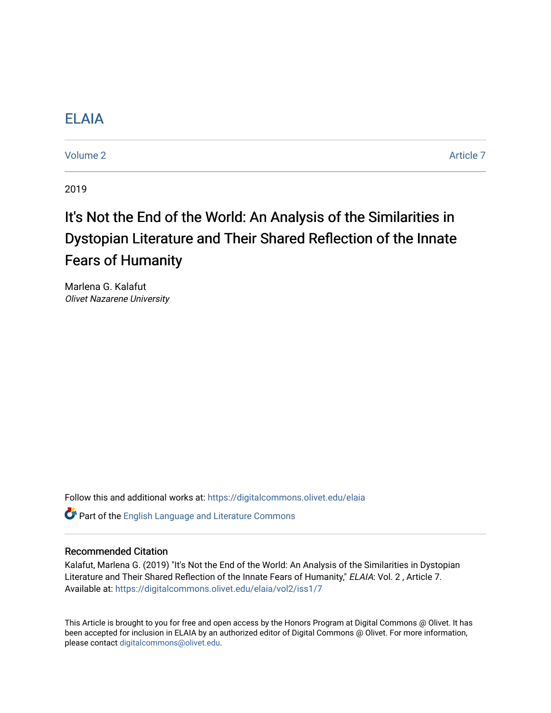## [ELAIA](https://digitalcommons.olivet.edu/elaia)

[Volume 2](https://digitalcommons.olivet.edu/elaia/vol2) Article 7

2019

# It's Not the End of the World: An Analysis of the Similarities in Dystopian Literature and Their Shared Reflection of the Innate Fears of Humanity

Marlena G. Kalafut Olivet Nazarene University

Follow this and additional works at: [https://digitalcommons.olivet.edu/elaia](https://digitalcommons.olivet.edu/elaia?utm_source=digitalcommons.olivet.edu%2Felaia%2Fvol2%2Fiss1%2F7&utm_medium=PDF&utm_campaign=PDFCoverPages)

Part of the [English Language and Literature Commons](http://network.bepress.com/hgg/discipline/455?utm_source=digitalcommons.olivet.edu%2Felaia%2Fvol2%2Fiss1%2F7&utm_medium=PDF&utm_campaign=PDFCoverPages)

#### Recommended Citation

Kalafut, Marlena G. (2019) "It's Not the End of the World: An Analysis of the Similarities in Dystopian Literature and Their Shared Reflection of the Innate Fears of Humanity," ELAIA: Vol. 2 , Article 7. Available at: [https://digitalcommons.olivet.edu/elaia/vol2/iss1/7](https://digitalcommons.olivet.edu/elaia/vol2/iss1/7?utm_source=digitalcommons.olivet.edu%2Felaia%2Fvol2%2Fiss1%2F7&utm_medium=PDF&utm_campaign=PDFCoverPages)

This Article is brought to you for free and open access by the Honors Program at Digital Commons @ Olivet. It has been accepted for inclusion in ELAIA by an authorized editor of Digital Commons @ Olivet. For more information, please contact [digitalcommons@olivet.edu.](mailto:digitalcommons@olivet.edu)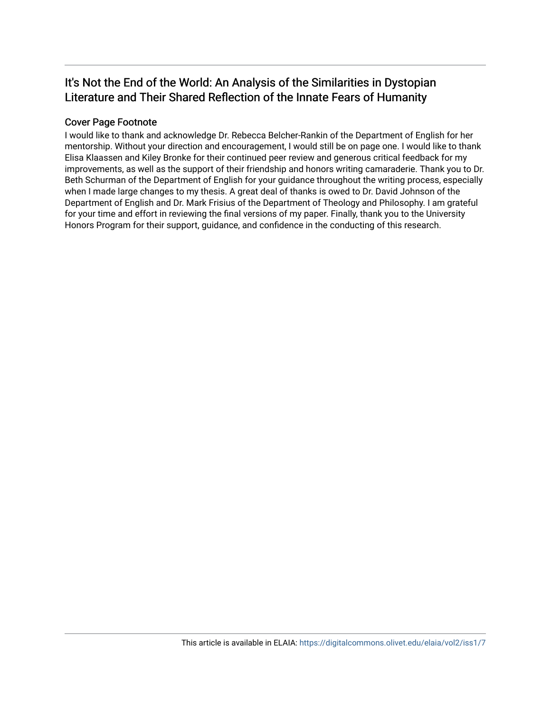## It's Not the End of the World: An Analysis of the Similarities in Dystopian Literature and Their Shared Reflection of the Innate Fears of Humanity

## Cover Page Footnote

I would like to thank and acknowledge Dr. Rebecca Belcher-Rankin of the Department of English for her mentorship. Without your direction and encouragement, I would still be on page one. I would like to thank Elisa Klaassen and Kiley Bronke for their continued peer review and generous critical feedback for my improvements, as well as the support of their friendship and honors writing camaraderie. Thank you to Dr. Beth Schurman of the Department of English for your guidance throughout the writing process, especially when I made large changes to my thesis. A great deal of thanks is owed to Dr. David Johnson of the Department of English and Dr. Mark Frisius of the Department of Theology and Philosophy. I am grateful for your time and effort in reviewing the final versions of my paper. Finally, thank you to the University Honors Program for their support, guidance, and confidence in the conducting of this research.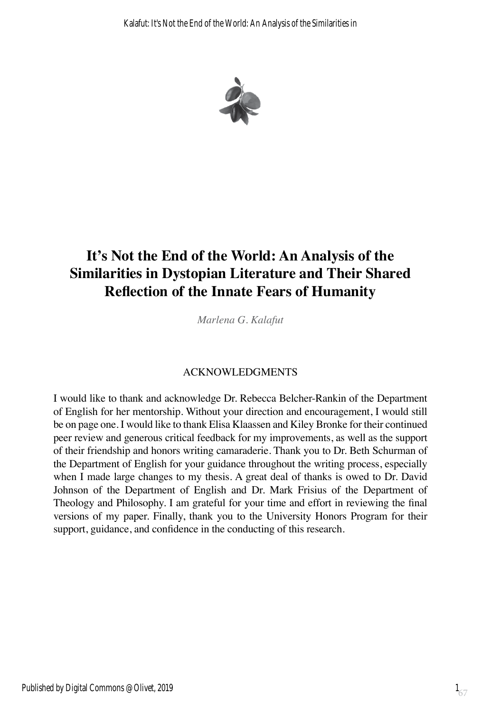

## **It's Not the End of the World: An Analysis of the Similarities in Dystopian Literature and Their Shared Reflection of the Innate Fears of Humanity**

*Marlena G. Kalafut*

## ACKNOWLEDGMENTS

I would like to thank and acknowledge Dr. Rebecca Belcher-Rankin of the Department of English for her mentorship. Without your direction and encouragement, I would still be on page one. I would like to thank Elisa Klaassen and Kiley Bronke for their continued peer review and generous critical feedback for my improvements, as well as the support of their friendship and honors writing camaraderie. Thank you to Dr. Beth Schurman of the Department of English for your guidance throughout the writing process, especially when I made large changes to my thesis. A great deal of thanks is owed to Dr. David Johnson of the Department of English and Dr. Mark Frisius of the Department of Theology and Philosophy. I am grateful for your time and effort in reviewing the final versions of my paper. Finally, thank you to the University Honors Program for their support, guidance, and confidence in the conducting of this research.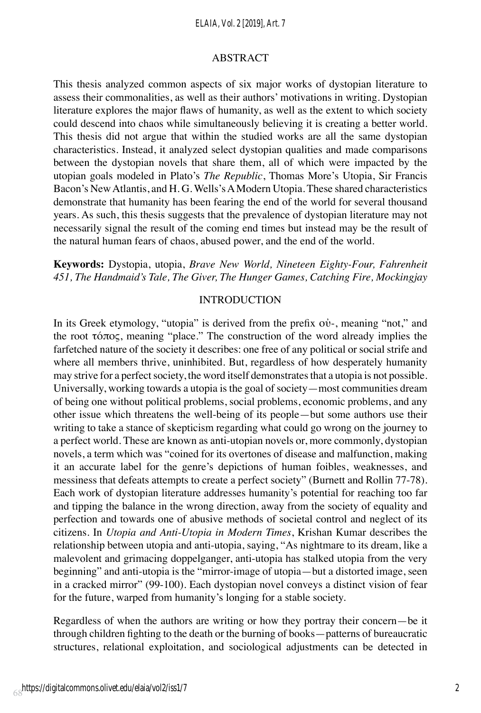#### *ELAIA, Vol. 2 [2019], Art. 7*

#### ABSTRACT

This thesis analyzed common aspects of six major works of dystopian literature to assess their commonalities, as well as their authors' motivations in writing. Dystopian literature explores the major flaws of humanity, as well as the extent to which society could descend into chaos while simultaneously believing it is creating a better world. This thesis did not argue that within the studied works are all the same dystopian characteristics. Instead, it analyzed select dystopian qualities and made comparisons between the dystopian novels that share them, all of which were impacted by the utopian goals modeled in Plato's *The Republic*, Thomas More's Utopia, Sir Francis Bacon's New Atlantis, and H. G. Wells's A Modern Utopia. These shared characteristics demonstrate that humanity has been fearing the end of the world for several thousand years. As such, this thesis suggests that the prevalence of dystopian literature may not necessarily signal the result of the coming end times but instead may be the result of the natural human fears of chaos, abused power, and the end of the world.

## **Keywords:** Dystopia, utopia, *Brave New World, Nineteen Eighty-Four, Fahrenheit 451, The Handmaid's Tale, The Giver, The Hunger Games, Catching Fire, Mockingjay*

#### INTRODUCTION

In its Greek etymology, "utopia" is derived from the prefix οὐ-, meaning "not," and the root τόπος, meaning "place." The construction of the word already implies the farfetched nature of the society it describes: one free of any political or social strife and where all members thrive, uninhibited. But, regardless of how desperately humanity may strive for a perfect society, the word itself demonstrates that a utopia is not possible. Universally, working towards a utopia is the goal of society—most communities dream of being one without political problems, social problems, economic problems, and any other issue which threatens the well-being of its people—but some authors use their writing to take a stance of skepticism regarding what could go wrong on the journey to a perfect world. These are known as anti-utopian novels or, more commonly, dystopian novels, a term which was "coined for its overtones of disease and malfunction, making it an accurate label for the genre's depictions of human foibles, weaknesses, and messiness that defeats attempts to create a perfect society" (Burnett and Rollin 77-78). Each work of dystopian literature addresses humanity's potential for reaching too far and tipping the balance in the wrong direction, away from the society of equality and perfection and towards one of abusive methods of societal control and neglect of its citizens. In *Utopia and Anti-Utopia in Modern Times*, Krishan Kumar describes the relationship between utopia and anti-utopia, saying, "As nightmare to its dream, like a malevolent and grimacing doppelganger, anti-utopia has stalked utopia from the very beginning" and anti-utopia is the "mirror-image of utopia—but a distorted image, seen in a cracked mirror" (99-100). Each dystopian novel conveys a distinct vision of fear for the future, warped from humanity's longing for a stable society.

Regardless of when the authors are writing or how they portray their concern—be it through children fighting to the death or the burning of books—patterns of bureaucratic structures, relational exploitation, and sociological adjustments can be detected in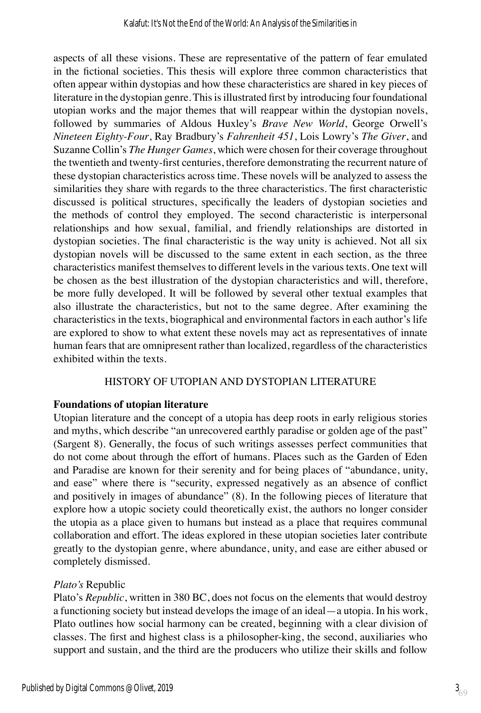aspects of all these visions. These are representative of the pattern of fear emulated in the fictional societies. This thesis will explore three common characteristics that often appear within dystopias and how these characteristics are shared in key pieces of literature in the dystopian genre. This is illustrated first by introducing four foundational utopian works and the major themes that will reappear within the dystopian novels, followed by summaries of Aldous Huxley's *Brave New World*, George Orwell's *Nineteen Eighty-Four*, Ray Bradbury's *Fahrenheit 451*, Lois Lowry's *The Giver*, and Suzanne Collin's *The Hunger Games*, which were chosen for their coverage throughout the twentieth and twenty-first centuries, therefore demonstrating the recurrent nature of these dystopian characteristics across time. These novels will be analyzed to assess the similarities they share with regards to the three characteristics. The first characteristic discussed is political structures, specifically the leaders of dystopian societies and the methods of control they employed. The second characteristic is interpersonal relationships and how sexual, familial, and friendly relationships are distorted in dystopian societies. The final characteristic is the way unity is achieved. Not all six dystopian novels will be discussed to the same extent in each section, as the three characteristics manifest themselves to different levels in the various texts. One text will be chosen as the best illustration of the dystopian characteristics and will, therefore, be more fully developed. It will be followed by several other textual examples that also illustrate the characteristics, but not to the same degree. After examining the characteristics in the texts, biographical and environmental factors in each author's life are explored to show to what extent these novels may act as representatives of innate human fears that are omnipresent rather than localized, regardless of the characteristics exhibited within the texts.

## HISTORY OF UTOPIAN AND DYSTOPIAN LITERATURE

## **Foundations of utopian literature**

Utopian literature and the concept of a utopia has deep roots in early religious stories and myths, which describe "an unrecovered earthly paradise or golden age of the past" (Sargent 8). Generally, the focus of such writings assesses perfect communities that do not come about through the effort of humans. Places such as the Garden of Eden and Paradise are known for their serenity and for being places of "abundance, unity, and ease" where there is "security, expressed negatively as an absence of conflict and positively in images of abundance" (8). In the following pieces of literature that explore how a utopic society could theoretically exist, the authors no longer consider the utopia as a place given to humans but instead as a place that requires communal collaboration and effort. The ideas explored in these utopian societies later contribute greatly to the dystopian genre, where abundance, unity, and ease are either abused or completely dismissed.

## *Plato's* Republic

Plato's *Republic*, written in 380 BC, does not focus on the elements that would destroy a functioning society but instead develops the image of an ideal—a utopia. In his work, Plato outlines how social harmony can be created, beginning with a clear division of classes. The first and highest class is a philosopher-king, the second, auxiliaries who support and sustain, and the third are the producers who utilize their skills and follow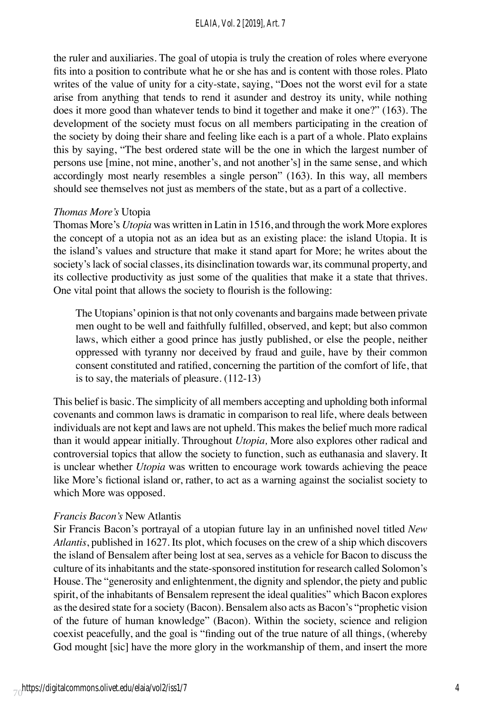#### *ELAIA, Vol. 2 [2019], Art. 7*

the ruler and auxiliaries. The goal of utopia is truly the creation of roles where everyone fits into a position to contribute what he or she has and is content with those roles. Plato writes of the value of unity for a city-state, saying, "Does not the worst evil for a state arise from anything that tends to rend it asunder and destroy its unity, while nothing does it more good than whatever tends to bind it together and make it one?" (163). The development of the society must focus on all members participating in the creation of the society by doing their share and feeling like each is a part of a whole. Plato explains this by saying, "The best ordered state will be the one in which the largest number of persons use [mine, not mine, another's, and not another's] in the same sense, and which accordingly most nearly resembles a single person" (163). In this way, all members should see themselves not just as members of the state, but as a part of a collective.

#### *Thomas More's* Utopia

Thomas More's *Utopia* was written in Latin in 1516, and through the work More explores the concept of a utopia not as an idea but as an existing place: the island Utopia. It is the island's values and structure that make it stand apart for More; he writes about the society's lack of social classes, its disinclination towards war, its communal property, and its collective productivity as just some of the qualities that make it a state that thrives. One vital point that allows the society to flourish is the following:

The Utopians' opinion is that not only covenants and bargains made between private men ought to be well and faithfully fulfilled, observed, and kept; but also common laws, which either a good prince has justly published, or else the people, neither oppressed with tyranny nor deceived by fraud and guile, have by their common consent constituted and ratified, concerning the partition of the comfort of life, that is to say, the materials of pleasure. (112-13)

This belief is basic. The simplicity of all members accepting and upholding both informal covenants and common laws is dramatic in comparison to real life, where deals between individuals are not kept and laws are not upheld. This makes the belief much more radical than it would appear initially. Throughout *Utopia,* More also explores other radical and controversial topics that allow the society to function, such as euthanasia and slavery. It is unclear whether *Utopia* was written to encourage work towards achieving the peace like More's fictional island or, rather, to act as a warning against the socialist society to which More was opposed.

#### *Francis Bacon's* New Atlantis

Sir Francis Bacon's portrayal of a utopian future lay in an unfinished novel titled *New Atlantis*, published in 1627. Its plot, which focuses on the crew of a ship which discovers the island of Bensalem after being lost at sea, serves as a vehicle for Bacon to discuss the culture of its inhabitants and the state-sponsored institution for research called Solomon's House. The "generosity and enlightenment, the dignity and splendor, the piety and public spirit, of the inhabitants of Bensalem represent the ideal qualities" which Bacon explores as the desired state for a society (Bacon). Bensalem also acts as Bacon's "prophetic vision of the future of human knowledge" (Bacon). Within the society, science and religion coexist peacefully, and the goal is "finding out of the true nature of all things, (whereby God mought [sic] have the more glory in the workmanship of them, and insert the more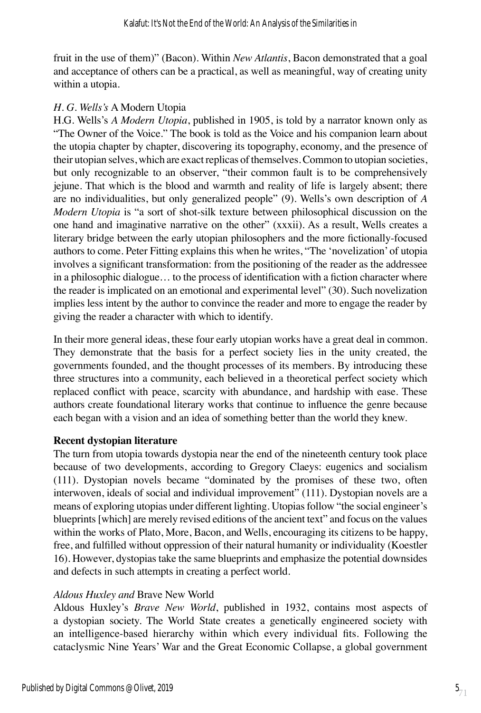fruit in the use of them)" (Bacon). Within *New Atlantis*, Bacon demonstrated that a goal and acceptance of others can be a practical, as well as meaningful, way of creating unity within a utopia.

#### *H. G. Wells's* A Modern Utopia

H.G. Wells's *A Modern Utopia*, published in 1905, is told by a narrator known only as "The Owner of the Voice." The book is told as the Voice and his companion learn about the utopia chapter by chapter, discovering its topography, economy, and the presence of their utopian selves, which are exact replicas of themselves. Common to utopian societies, but only recognizable to an observer, "their common fault is to be comprehensively jejune. That which is the blood and warmth and reality of life is largely absent; there are no individualities, but only generalized people" (9). Wells's own description of *A Modern Utopia* is "a sort of shot-silk texture between philosophical discussion on the one hand and imaginative narrative on the other" (xxxii). As a result, Wells creates a literary bridge between the early utopian philosophers and the more fictionally-focused authors to come. Peter Fitting explains this when he writes, "The 'novelization' of utopia involves a significant transformation: from the positioning of the reader as the addressee in a philosophic dialogue… to the process of identification with a fiction character where the reader is implicated on an emotional and experimental level" (30). Such novelization implies less intent by the author to convince the reader and more to engage the reader by giving the reader a character with which to identify.

In their more general ideas, these four early utopian works have a great deal in common. They demonstrate that the basis for a perfect society lies in the unity created, the governments founded, and the thought processes of its members. By introducing these three structures into a community, each believed in a theoretical perfect society which replaced conflict with peace, scarcity with abundance, and hardship with ease. These authors create foundational literary works that continue to influence the genre because each began with a vision and an idea of something better than the world they knew.

## **Recent dystopian literature**

The turn from utopia towards dystopia near the end of the nineteenth century took place because of two developments, according to Gregory Claeys: eugenics and socialism (111). Dystopian novels became "dominated by the promises of these two, often interwoven, ideals of social and individual improvement" (111). Dystopian novels are a means of exploring utopias under different lighting. Utopias follow "the social engineer's blueprints [which] are merely revised editions of the ancient text" and focus on the values within the works of Plato, More, Bacon, and Wells, encouraging its citizens to be happy, free, and fulfilled without oppression of their natural humanity or individuality (Koestler 16). However, dystopias take the same blueprints and emphasize the potential downsides and defects in such attempts in creating a perfect world.

## *Aldous Huxley and* Brave New World

Aldous Huxley's *Brave New World*, published in 1932, contains most aspects of a dystopian society. The World State creates a genetically engineered society with an intelligence-based hierarchy within which every individual fits. Following the cataclysmic Nine Years' War and the Great Economic Collapse, a global government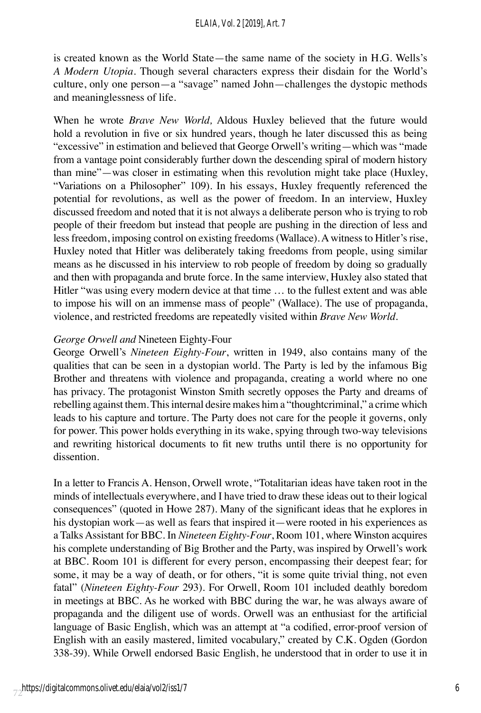is created known as the World State—the same name of the society in H.G. Wells's *A Modern Utopia*. Though several characters express their disdain for the World's culture, only one person—a "savage" named John—challenges the dystopic methods and meaninglessness of life.

When he wrote *Brave New World,* Aldous Huxley believed that the future would hold a revolution in five or six hundred years, though he later discussed this as being "excessive" in estimation and believed that George Orwell's writing—which was "made from a vantage point considerably further down the descending spiral of modern history than mine"—was closer in estimating when this revolution might take place (Huxley, "Variations on a Philosopher" 109). In his essays, Huxley frequently referenced the potential for revolutions, as well as the power of freedom. In an interview, Huxley discussed freedom and noted that it is not always a deliberate person who is trying to rob people of their freedom but instead that people are pushing in the direction of less and less freedom, imposing control on existing freedoms (Wallace). A witness to Hitler's rise, Huxley noted that Hitler was deliberately taking freedoms from people, using similar means as he discussed in his interview to rob people of freedom by doing so gradually and then with propaganda and brute force. In the same interview, Huxley also stated that Hitler "was using every modern device at that time … to the fullest extent and was able to impose his will on an immense mass of people" (Wallace). The use of propaganda, violence, and restricted freedoms are repeatedly visited within *Brave New World.*

#### *George Orwell and* Nineteen Eighty-Four

George Orwell's *Nineteen Eighty-Four*, written in 1949, also contains many of the qualities that can be seen in a dystopian world. The Party is led by the infamous Big Brother and threatens with violence and propaganda, creating a world where no one has privacy. The protagonist Winston Smith secretly opposes the Party and dreams of rebelling against them. This internal desire makes him a "thoughtcriminal," a crime which leads to his capture and torture. The Party does not care for the people it governs, only for power. This power holds everything in its wake, spying through two-way televisions and rewriting historical documents to fit new truths until there is no opportunity for dissention.

In a letter to Francis A. Henson, Orwell wrote, "Totalitarian ideas have taken root in the minds of intellectuals everywhere, and I have tried to draw these ideas out to their logical consequences" (quoted in Howe 287). Many of the significant ideas that he explores in his dystopian work—as well as fears that inspired it—were rooted in his experiences as a Talks Assistant for BBC. In *Nineteen Eighty-Four*, Room 101, where Winston acquires his complete understanding of Big Brother and the Party, was inspired by Orwell's work at BBC. Room 101 is different for every person, encompassing their deepest fear; for some, it may be a way of death, or for others, "it is some quite trivial thing, not even fatal" (*Nineteen Eighty-Four* 293). For Orwell, Room 101 included deathly boredom in meetings at BBC. As he worked with BBC during the war, he was always aware of propaganda and the diligent use of words. Orwell was an enthusiast for the artificial language of Basic English, which was an attempt at "a codified, error-proof version of English with an easily mastered, limited vocabulary," created by C.K. Ogden (Gordon 338-39). While Orwell endorsed Basic English, he understood that in order to use it in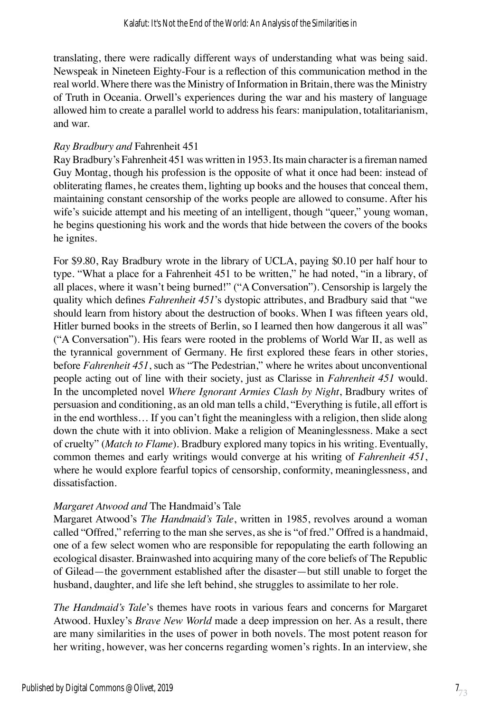translating, there were radically different ways of understanding what was being said. Newspeak in Nineteen Eighty-Four is a reflection of this communication method in the real world. Where there was the Ministry of Information in Britain, there was the Ministry of Truth in Oceania. Orwell's experiences during the war and his mastery of language allowed him to create a parallel world to address his fears: manipulation, totalitarianism, and war.

## *Ray Bradbury and* Fahrenheit 451

Ray Bradbury's Fahrenheit 451 was written in 1953. Its main character is a fireman named Guy Montag, though his profession is the opposite of what it once had been: instead of obliterating flames, he creates them, lighting up books and the houses that conceal them, maintaining constant censorship of the works people are allowed to consume. After his wife's suicide attempt and his meeting of an intelligent, though "queer," young woman, he begins questioning his work and the words that hide between the covers of the books he ignites.

For \$9.80, Ray Bradbury wrote in the library of UCLA, paying \$0.10 per half hour to type. "What a place for a Fahrenheit 451 to be written," he had noted, "in a library, of all places, where it wasn't being burned!" ("A Conversation"). Censorship is largely the quality which defines *Fahrenheit 451*'s dystopic attributes, and Bradbury said that "we should learn from history about the destruction of books. When I was fifteen years old, Hitler burned books in the streets of Berlin, so I learned then how dangerous it all was" ("A Conversation"). His fears were rooted in the problems of World War II, as well as the tyrannical government of Germany. He first explored these fears in other stories, before *Fahrenheit 451*, such as "The Pedestrian," where he writes about unconventional people acting out of line with their society, just as Clarisse in *Fahrenheit 451* would. In the uncompleted novel *Where Ignorant Armies Clash by Night*, Bradbury writes of persuasion and conditioning, as an old man tells a child, "Everything is futile, all effort is in the end worthless… If you can't fight the meaningless with a religion, then slide along down the chute with it into oblivion. Make a religion of Meaninglessness. Make a sect of cruelty" (*Match to Flame*). Bradbury explored many topics in his writing. Eventually, common themes and early writings would converge at his writing of *Fahrenheit 451*, where he would explore fearful topics of censorship, conformity, meaninglessness, and dissatisfaction.

## *Margaret Atwood and* The Handmaid's Tale

Margaret Atwood's *The Handmaid's Tale*, written in 1985, revolves around a woman called "Offred," referring to the man she serves, as she is "of fred." Offred is a handmaid, one of a few select women who are responsible for repopulating the earth following an ecological disaster. Brainwashed into acquiring many of the core beliefs of The Republic of Gilead—the government established after the disaster—but still unable to forget the husband, daughter, and life she left behind, she struggles to assimilate to her role.

*The Handmaid's Tale*'s themes have roots in various fears and concerns for Margaret Atwood. Huxley's *Brave New World* made a deep impression on her. As a result, there are many similarities in the uses of power in both novels. The most potent reason for her writing, however, was her concerns regarding women's rights. In an interview, she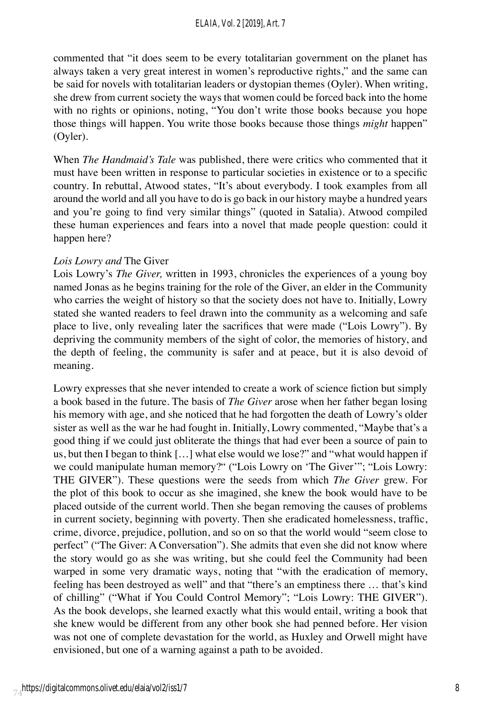commented that "it does seem to be every totalitarian government on the planet has always taken a very great interest in women's reproductive rights," and the same can be said for novels with totalitarian leaders or dystopian themes (Oyler). When writing, she drew from current society the ways that women could be forced back into the home with no rights or opinions, noting, "You don't write those books because you hope those things will happen. You write those books because those things *might* happen" (Oyler).

When *The Handmaid's Tale* was published, there were critics who commented that it must have been written in response to particular societies in existence or to a specific country. In rebuttal, Atwood states, "It's about everybody. I took examples from all around the world and all you have to do is go back in our history maybe a hundred years and you're going to find very similar things" (quoted in Satalia). Atwood compiled these human experiences and fears into a novel that made people question: could it happen here?

## *Lois Lowry and* The Giver

Lois Lowry's *The Giver,* written in 1993, chronicles the experiences of a young boy named Jonas as he begins training for the role of the Giver, an elder in the Community who carries the weight of history so that the society does not have to. Initially, Lowry stated she wanted readers to feel drawn into the community as a welcoming and safe place to live, only revealing later the sacrifices that were made ("Lois Lowry"). By depriving the community members of the sight of color, the memories of history, and the depth of feeling, the community is safer and at peace, but it is also devoid of meaning.

Lowry expresses that she never intended to create a work of science fiction but simply a book based in the future. The basis of *The Giver* arose when her father began losing his memory with age, and she noticed that he had forgotten the death of Lowry's older sister as well as the war he had fought in. Initially, Lowry commented, "Maybe that's a good thing if we could just obliterate the things that had ever been a source of pain to us, but then I began to think […] what else would we lose?" and "what would happen if we could manipulate human memory?" ("Lois Lowry on 'The Giver'"; "Lois Lowry: THE GIVER"). These questions were the seeds from which *The Giver* grew. For the plot of this book to occur as she imagined, she knew the book would have to be placed outside of the current world. Then she began removing the causes of problems in current society, beginning with poverty. Then she eradicated homelessness, traffic, crime, divorce, prejudice, pollution, and so on so that the world would "seem close to perfect" ("The Giver: A Conversation"). She admits that even she did not know where the story would go as she was writing, but she could feel the Community had been warped in some very dramatic ways, noting that "with the eradication of memory, feeling has been destroyed as well" and that "there's an emptiness there … that's kind of chilling" ("What if You Could Control Memory"; "Lois Lowry: THE GIVER"). As the book develops, she learned exactly what this would entail, writing a book that she knew would be different from any other book she had penned before. Her vision was not one of complete devastation for the world, as Huxley and Orwell might have envisioned, but one of a warning against a path to be avoided.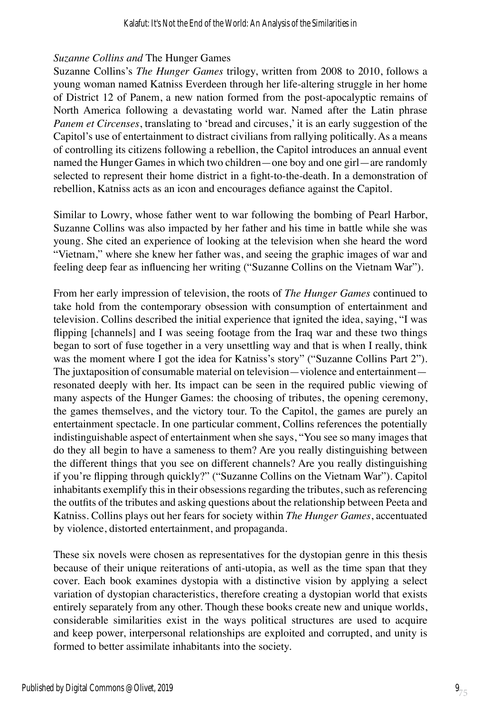#### *Suzanne Collins and* The Hunger Games

Suzanne Collins's *The Hunger Games* trilogy, written from 2008 to 2010, follows a young woman named Katniss Everdeen through her life-altering struggle in her home of District 12 of Panem, a new nation formed from the post-apocalyptic remains of North America following a devastating world war. Named after the Latin phrase *Panem et Circenses*, translating to 'bread and circuses,' it is an early suggestion of the Capitol's use of entertainment to distract civilians from rallying politically. As a means of controlling its citizens following a rebellion, the Capitol introduces an annual event named the Hunger Games in which two children—one boy and one girl—are randomly selected to represent their home district in a fight-to-the-death. In a demonstration of rebellion, Katniss acts as an icon and encourages defiance against the Capitol.

Similar to Lowry, whose father went to war following the bombing of Pearl Harbor, Suzanne Collins was also impacted by her father and his time in battle while she was young. She cited an experience of looking at the television when she heard the word "Vietnam," where she knew her father was, and seeing the graphic images of war and feeling deep fear as influencing her writing ("Suzanne Collins on the Vietnam War").

From her early impression of television, the roots of *The Hunger Games* continued to take hold from the contemporary obsession with consumption of entertainment and television. Collins described the initial experience that ignited the idea, saying, "I was flipping [channels] and I was seeing footage from the Iraq war and these two things began to sort of fuse together in a very unsettling way and that is when I really, think was the moment where I got the idea for Katniss's story" ("Suzanne Collins Part 2"). The juxtaposition of consumable material on television—violence and entertainment resonated deeply with her. Its impact can be seen in the required public viewing of many aspects of the Hunger Games: the choosing of tributes, the opening ceremony, the games themselves, and the victory tour. To the Capitol, the games are purely an entertainment spectacle. In one particular comment, Collins references the potentially indistinguishable aspect of entertainment when she says, "You see so many images that do they all begin to have a sameness to them? Are you really distinguishing between the different things that you see on different channels? Are you really distinguishing if you're flipping through quickly?" ("Suzanne Collins on the Vietnam War"). Capitol inhabitants exemplify this in their obsessions regarding the tributes, such as referencing the outfits of the tributes and asking questions about the relationship between Peeta and Katniss. Collins plays out her fears for society within *The Hunger Games*, accentuated by violence, distorted entertainment, and propaganda.

These six novels were chosen as representatives for the dystopian genre in this thesis because of their unique reiterations of anti-utopia, as well as the time span that they cover. Each book examines dystopia with a distinctive vision by applying a select variation of dystopian characteristics, therefore creating a dystopian world that exists entirely separately from any other. Though these books create new and unique worlds, considerable similarities exist in the ways political structures are used to acquire and keep power, interpersonal relationships are exploited and corrupted, and unity is formed to better assimilate inhabitants into the society.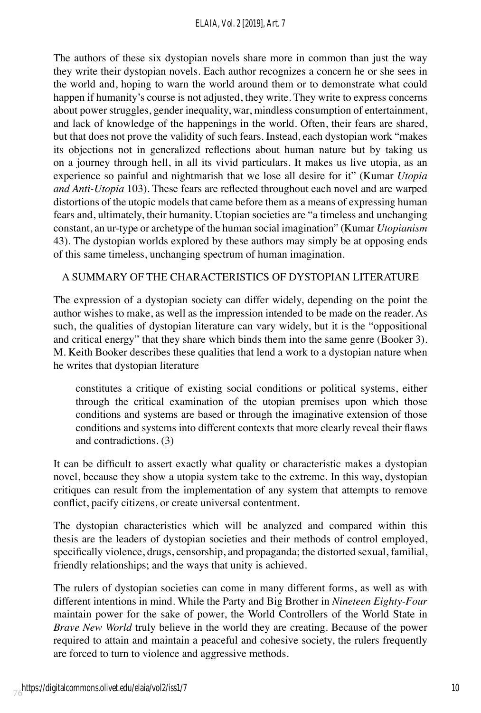The authors of these six dystopian novels share more in common than just the way they write their dystopian novels. Each author recognizes a concern he or she sees in the world and, hoping to warn the world around them or to demonstrate what could happen if humanity's course is not adjusted, they write. They write to express concerns about power struggles, gender inequality, war, mindless consumption of entertainment, and lack of knowledge of the happenings in the world. Often, their fears are shared, but that does not prove the validity of such fears. Instead, each dystopian work "makes its objections not in generalized reflections about human nature but by taking us on a journey through hell, in all its vivid particulars. It makes us live utopia, as an experience so painful and nightmarish that we lose all desire for it" (Kumar *Utopia and Anti-Utopia* 103). These fears are reflected throughout each novel and are warped distortions of the utopic models that came before them as a means of expressing human fears and, ultimately, their humanity. Utopian societies are "a timeless and unchanging constant, an ur-type or archetype of the human social imagination" (Kumar *Utopianism*  43). The dystopian worlds explored by these authors may simply be at opposing ends of this same timeless, unchanging spectrum of human imagination.

## A SUMMARY OF THE CHARACTERISTICS OF DYSTOPIAN LITERATURE

The expression of a dystopian society can differ widely, depending on the point the author wishes to make, as well as the impression intended to be made on the reader. As such, the qualities of dystopian literature can vary widely, but it is the "oppositional and critical energy" that they share which binds them into the same genre (Booker 3). M. Keith Booker describes these qualities that lend a work to a dystopian nature when he writes that dystopian literature

constitutes a critique of existing social conditions or political systems, either through the critical examination of the utopian premises upon which those conditions and systems are based or through the imaginative extension of those conditions and systems into different contexts that more clearly reveal their flaws and contradictions. (3)

It can be difficult to assert exactly what quality or characteristic makes a dystopian novel, because they show a utopia system take to the extreme. In this way, dystopian critiques can result from the implementation of any system that attempts to remove conflict, pacify citizens, or create universal contentment.

The dystopian characteristics which will be analyzed and compared within this thesis are the leaders of dystopian societies and their methods of control employed, specifically violence, drugs, censorship, and propaganda; the distorted sexual, familial, friendly relationships; and the ways that unity is achieved.

The rulers of dystopian societies can come in many different forms, as well as with different intentions in mind. While the Party and Big Brother in *Nineteen Eighty-Four*  maintain power for the sake of power, the World Controllers of the World State in *Brave New World* truly believe in the world they are creating. Because of the power required to attain and maintain a peaceful and cohesive society, the rulers frequently are forced to turn to violence and aggressive methods.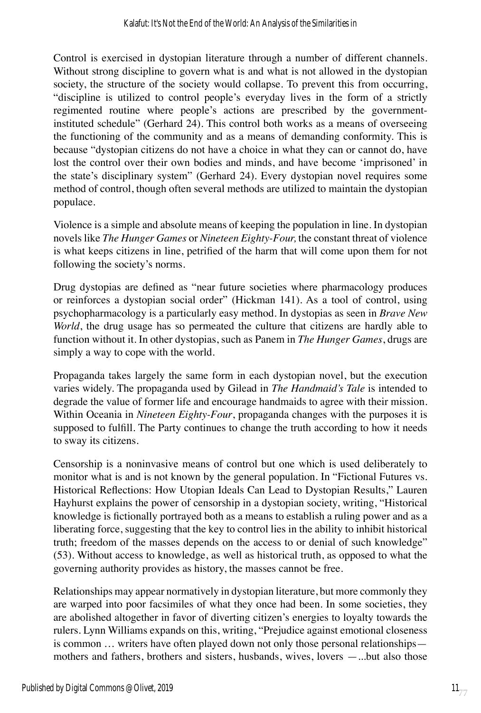Control is exercised in dystopian literature through a number of different channels. Without strong discipline to govern what is and what is not allowed in the dystopian society, the structure of the society would collapse. To prevent this from occurring, "discipline is utilized to control people's everyday lives in the form of a strictly regimented routine where people's actions are prescribed by the governmentinstituted schedule" (Gerhard 24). This control both works as a means of overseeing the functioning of the community and as a means of demanding conformity. This is because "dystopian citizens do not have a choice in what they can or cannot do, have lost the control over their own bodies and minds, and have become 'imprisoned' in the state's disciplinary system" (Gerhard 24). Every dystopian novel requires some method of control, though often several methods are utilized to maintain the dystopian populace.

Violence is a simple and absolute means of keeping the population in line. In dystopian novels like *The Hunger Games* or *Nineteen Eighty-Four,* the constant threat of violence is what keeps citizens in line, petrified of the harm that will come upon them for not following the society's norms.

Drug dystopias are defined as "near future societies where pharmacology produces or reinforces a dystopian social order" (Hickman 141). As a tool of control, using psychopharmacology is a particularly easy method. In dystopias as seen in *Brave New World*, the drug usage has so permeated the culture that citizens are hardly able to function without it. In other dystopias, such as Panem in *The Hunger Games*, drugs are simply a way to cope with the world.

Propaganda takes largely the same form in each dystopian novel, but the execution varies widely. The propaganda used by Gilead in *The Handmaid's Tale* is intended to degrade the value of former life and encourage handmaids to agree with their mission. Within Oceania in *Nineteen Eighty-Four*, propaganda changes with the purposes it is supposed to fulfill. The Party continues to change the truth according to how it needs to sway its citizens.

Censorship is a noninvasive means of control but one which is used deliberately to monitor what is and is not known by the general population. In "Fictional Futures vs. Historical Reflections: How Utopian Ideals Can Lead to Dystopian Results," Lauren Hayhurst explains the power of censorship in a dystopian society, writing, "Historical knowledge is fictionally portrayed both as a means to establish a ruling power and as a liberating force, suggesting that the key to control lies in the ability to inhibit historical truth; freedom of the masses depends on the access to or denial of such knowledge" (53). Without access to knowledge, as well as historical truth, as opposed to what the governing authority provides as history, the masses cannot be free.

Relationships may appear normatively in dystopian literature, but more commonly they are warped into poor facsimiles of what they once had been. In some societies, they are abolished altogether in favor of diverting citizen's energies to loyalty towards the rulers. Lynn Williams expands on this, writing, "Prejudice against emotional closeness is common … writers have often played down not only those personal relationships mothers and fathers, brothers and sisters, husbands, wives, lovers —...but also those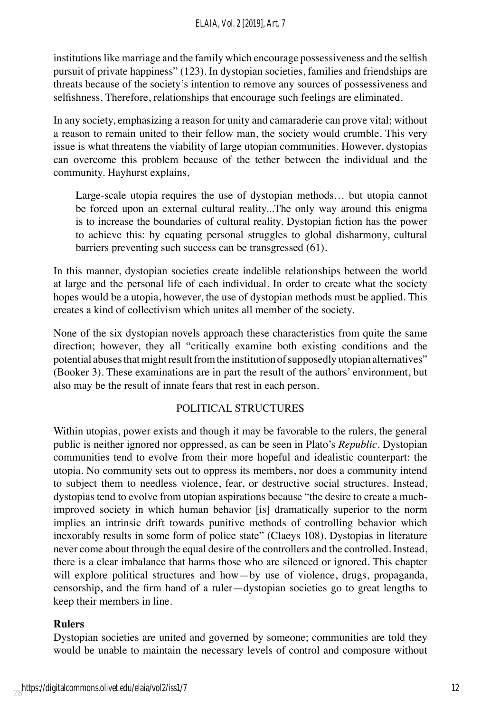#### *ELAIA, Vol. 2 [2019], Art. 7*

institutions like marriage and the family which encourage possessiveness and the selfish pursuit of private happiness" (123). In dystopian societies, families and friendships are threats because of the society's intention to remove any sources of possessiveness and selfishness. Therefore, relationships that encourage such feelings are eliminated.

In any society, emphasizing a reason for unity and camaraderie can prove vital; without a reason to remain united to their fellow man, the society would crumble. This very issue is what threatens the viability of large utopian communities. However, dystopias can overcome this problem because of the tether between the individual and the community. Hayhurst explains,

Large-scale utopia requires the use of dystopian methods… but utopia cannot be forced upon an external cultural reality...The only way around this enigma is to increase the boundaries of cultural reality. Dystopian fiction has the power to achieve this: by equating personal struggles to global disharmony, cultural barriers preventing such success can be transgressed (61).

In this manner, dystopian societies create indelible relationships between the world at large and the personal life of each individual. In order to create what the society hopes would be a utopia, however, the use of dystopian methods must be applied. This creates a kind of collectivism which unites all member of the society.

None of the six dystopian novels approach these characteristics from quite the same direction; however, they all "critically examine both existing conditions and the potential abuses that might result from the institution of supposedly utopian alternatives" (Booker 3). These examinations are in part the result of the authors' environment, but also may be the result of innate fears that rest in each person.

#### POLITICAL STRUCTURES

Within utopias, power exists and though it may be favorable to the rulers, the general public is neither ignored nor oppressed, as can be seen in Plato's *Republic*. Dystopian communities tend to evolve from their more hopeful and idealistic counterpart: the utopia. No community sets out to oppress its members, nor does a community intend to subject them to needless violence, fear, or destructive social structures. Instead, dystopias tend to evolve from utopian aspirations because "the desire to create a muchimproved society in which human behavior [is] dramatically superior to the norm implies an intrinsic drift towards punitive methods of controlling behavior which inexorably results in some form of police state" (Claeys 108). Dystopias in literature never come about through the equal desire of the controllers and the controlled. Instead, there is a clear imbalance that harms those who are silenced or ignored. This chapter will explore political structures and how—by use of violence, drugs, propaganda, censorship, and the firm hand of a ruler—dystopian societies go to great lengths to keep their members in line.

## **Rulers**

Dystopian societies are united and governed by someone; communities are told they would be unable to maintain the necessary levels of control and composure without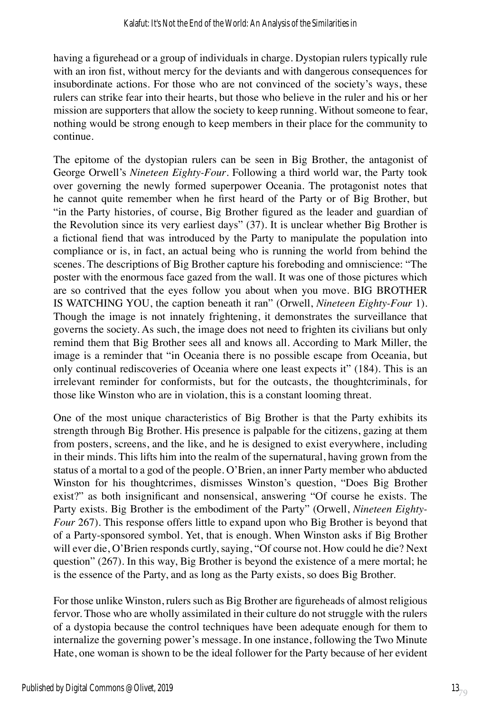having a figurehead or a group of individuals in charge. Dystopian rulers typically rule with an iron fist, without mercy for the deviants and with dangerous consequences for insubordinate actions. For those who are not convinced of the society's ways, these rulers can strike fear into their hearts, but those who believe in the ruler and his or her mission are supporters that allow the society to keep running. Without someone to fear, nothing would be strong enough to keep members in their place for the community to continue.

The epitome of the dystopian rulers can be seen in Big Brother, the antagonist of George Orwell's *Nineteen Eighty-Four*. Following a third world war, the Party took over governing the newly formed superpower Oceania. The protagonist notes that he cannot quite remember when he first heard of the Party or of Big Brother, but "in the Party histories, of course, Big Brother figured as the leader and guardian of the Revolution since its very earliest days" (37). It is unclear whether Big Brother is a fictional fiend that was introduced by the Party to manipulate the population into compliance or is, in fact, an actual being who is running the world from behind the scenes. The descriptions of Big Brother capture his foreboding and omniscience: "The poster with the enormous face gazed from the wall. It was one of those pictures which are so contrived that the eyes follow you about when you move. BIG BROTHER IS WATCHING YOU, the caption beneath it ran" (Orwell, *Nineteen Eighty-Four* 1). Though the image is not innately frightening, it demonstrates the surveillance that governs the society. As such, the image does not need to frighten its civilians but only remind them that Big Brother sees all and knows all. According to Mark Miller, the image is a reminder that "in Oceania there is no possible escape from Oceania, but only continual rediscoveries of Oceania where one least expects it" (184). This is an irrelevant reminder for conformists, but for the outcasts, the thoughtcriminals, for those like Winston who are in violation, this is a constant looming threat.

One of the most unique characteristics of Big Brother is that the Party exhibits its strength through Big Brother. His presence is palpable for the citizens, gazing at them from posters, screens, and the like, and he is designed to exist everywhere, including in their minds. This lifts him into the realm of the supernatural, having grown from the status of a mortal to a god of the people. O'Brien, an inner Party member who abducted Winston for his thoughtcrimes, dismisses Winston's question, "Does Big Brother exist?" as both insignificant and nonsensical, answering "Of course he exists. The Party exists. Big Brother is the embodiment of the Party" (Orwell, *Nineteen Eighty-Four* 267). This response offers little to expand upon who Big Brother is beyond that of a Party-sponsored symbol. Yet, that is enough. When Winston asks if Big Brother will ever die, O'Brien responds curtly, saying, "Of course not. How could he die? Next question" (267). In this way, Big Brother is beyond the existence of a mere mortal; he is the essence of the Party, and as long as the Party exists, so does Big Brother.

For those unlike Winston, rulers such as Big Brother are figureheads of almost religious fervor. Those who are wholly assimilated in their culture do not struggle with the rulers of a dystopia because the control techniques have been adequate enough for them to internalize the governing power's message. In one instance, following the Two Minute Hate, one woman is shown to be the ideal follower for the Party because of her evident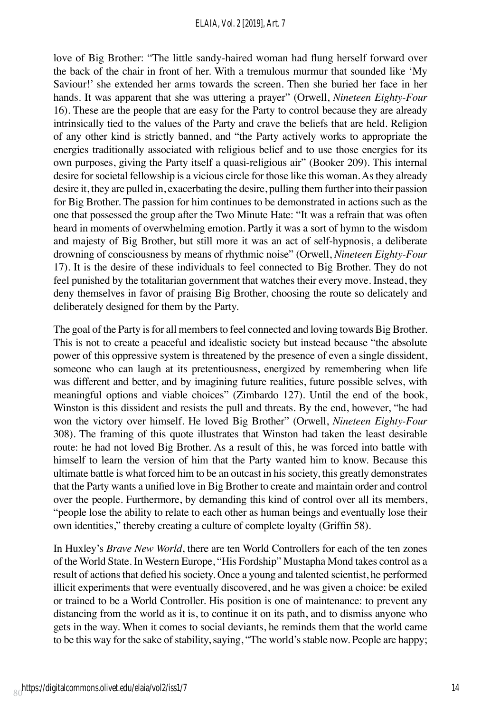love of Big Brother: "The little sandy-haired woman had flung herself forward over the back of the chair in front of her. With a tremulous murmur that sounded like 'My Saviour!' she extended her arms towards the screen. Then she buried her face in her hands. It was apparent that she was uttering a prayer" (Orwell, *Nineteen Eighty-Four*  16). These are the people that are easy for the Party to control because they are already intrinsically tied to the values of the Party and crave the beliefs that are held. Religion of any other kind is strictly banned, and "the Party actively works to appropriate the energies traditionally associated with religious belief and to use those energies for its own purposes, giving the Party itself a quasi-religious air" (Booker 209). This internal desire for societal fellowship is a vicious circle for those like this woman. As they already desire it, they are pulled in, exacerbating the desire, pulling them further into their passion for Big Brother. The passion for him continues to be demonstrated in actions such as the one that possessed the group after the Two Minute Hate: "It was a refrain that was often heard in moments of overwhelming emotion. Partly it was a sort of hymn to the wisdom and majesty of Big Brother, but still more it was an act of self-hypnosis, a deliberate drowning of consciousness by means of rhythmic noise" (Orwell, *Nineteen Eighty-Four* 17). It is the desire of these individuals to feel connected to Big Brother. They do not feel punished by the totalitarian government that watches their every move. Instead, they deny themselves in favor of praising Big Brother, choosing the route so delicately and deliberately designed for them by the Party.

The goal of the Party is for all members to feel connected and loving towards Big Brother. This is not to create a peaceful and idealistic society but instead because "the absolute power of this oppressive system is threatened by the presence of even a single dissident, someone who can laugh at its pretentiousness, energized by remembering when life was different and better, and by imagining future realities, future possible selves, with meaningful options and viable choices" (Zimbardo 127). Until the end of the book, Winston is this dissident and resists the pull and threats. By the end, however, "he had won the victory over himself. He loved Big Brother" (Orwell, *Nineteen Eighty-Four* 308). The framing of this quote illustrates that Winston had taken the least desirable route: he had not loved Big Brother. As a result of this, he was forced into battle with himself to learn the version of him that the Party wanted him to know. Because this ultimate battle is what forced him to be an outcast in his society, this greatly demonstrates that the Party wants a unified love in Big Brother to create and maintain order and control over the people. Furthermore, by demanding this kind of control over all its members, "people lose the ability to relate to each other as human beings and eventually lose their own identities," thereby creating a culture of complete loyalty (Griffin 58).

In Huxley's *Brave New World*, there are ten World Controllers for each of the ten zones of the World State. In Western Europe, "His Fordship" Mustapha Mond takes control as a result of actions that defied his society. Once a young and talented scientist, he performed illicit experiments that were eventually discovered, and he was given a choice: be exiled or trained to be a World Controller. His position is one of maintenance: to prevent any distancing from the world as it is, to continue it on its path, and to dismiss anyone who gets in the way. When it comes to social deviants, he reminds them that the world came to be this way for the sake of stability, saying, "The world's stable now. People are happy;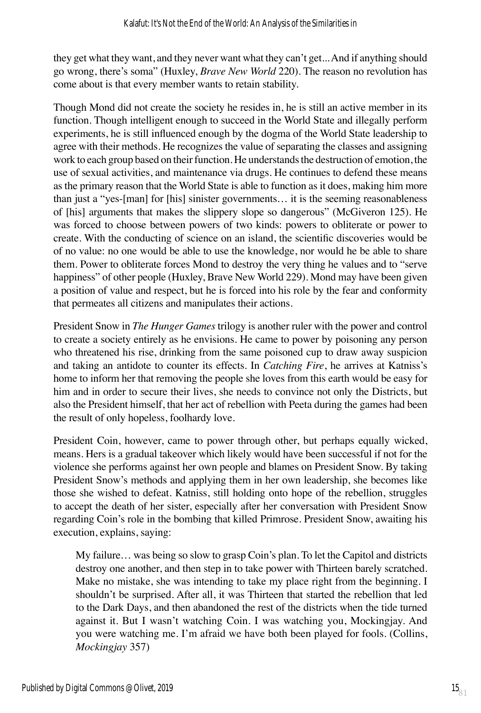they get what they want, and they never want what they can't get... And if anything should go wrong, there's soma" (Huxley, *Brave New World* 220). The reason no revolution has come about is that every member wants to retain stability.

Though Mond did not create the society he resides in, he is still an active member in its function. Though intelligent enough to succeed in the World State and illegally perform experiments, he is still influenced enough by the dogma of the World State leadership to agree with their methods. He recognizes the value of separating the classes and assigning work to each group based on their function. He understands the destruction of emotion, the use of sexual activities, and maintenance via drugs. He continues to defend these means as the primary reason that the World State is able to function as it does, making him more than just a "yes-[man] for [his] sinister governments… it is the seeming reasonableness of [his] arguments that makes the slippery slope so dangerous" (McGiveron 125). He was forced to choose between powers of two kinds: powers to obliterate or power to create. With the conducting of science on an island, the scientific discoveries would be of no value: no one would be able to use the knowledge, nor would he be able to share them. Power to obliterate forces Mond to destroy the very thing he values and to "serve happiness" of other people (Huxley, Brave New World 229). Mond may have been given a position of value and respect, but he is forced into his role by the fear and conformity that permeates all citizens and manipulates their actions.

President Snow in *The Hunger Games* trilogy is another ruler with the power and control to create a society entirely as he envisions. He came to power by poisoning any person who threatened his rise, drinking from the same poisoned cup to draw away suspicion and taking an antidote to counter its effects. In *Catching Fire*, he arrives at Katniss's home to inform her that removing the people she loves from this earth would be easy for him and in order to secure their lives, she needs to convince not only the Districts, but also the President himself, that her act of rebellion with Peeta during the games had been the result of only hopeless, foolhardy love.

President Coin, however, came to power through other, but perhaps equally wicked, means. Hers is a gradual takeover which likely would have been successful if not for the violence she performs against her own people and blames on President Snow. By taking President Snow's methods and applying them in her own leadership, she becomes like those she wished to defeat. Katniss, still holding onto hope of the rebellion, struggles to accept the death of her sister, especially after her conversation with President Snow regarding Coin's role in the bombing that killed Primrose. President Snow, awaiting his execution, explains, saying:

My failure… was being so slow to grasp Coin's plan. To let the Capitol and districts destroy one another, and then step in to take power with Thirteen barely scratched. Make no mistake, she was intending to take my place right from the beginning. I shouldn't be surprised. After all, it was Thirteen that started the rebellion that led to the Dark Days, and then abandoned the rest of the districts when the tide turned against it. But I wasn't watching Coin. I was watching you, Mockingjay. And you were watching me. I'm afraid we have both been played for fools. (Collins, *Mockingjay* 357)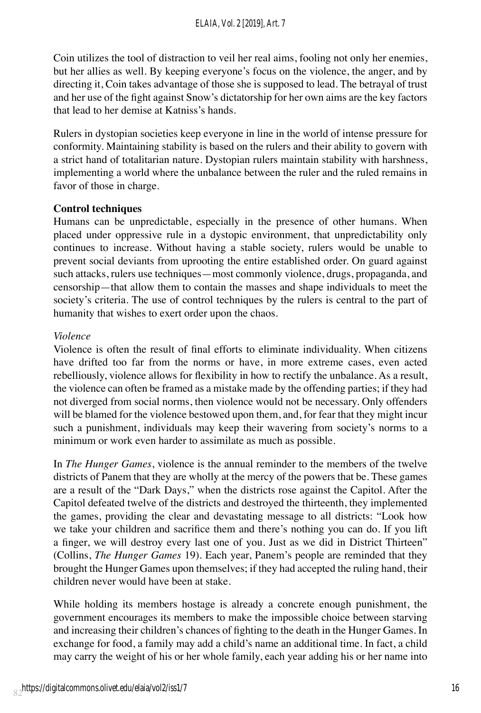Coin utilizes the tool of distraction to veil her real aims, fooling not only her enemies, but her allies as well. By keeping everyone's focus on the violence, the anger, and by directing it, Coin takes advantage of those she is supposed to lead. The betrayal of trust and her use of the fight against Snow's dictatorship for her own aims are the key factors that lead to her demise at Katniss's hands.

Rulers in dystopian societies keep everyone in line in the world of intense pressure for conformity. Maintaining stability is based on the rulers and their ability to govern with a strict hand of totalitarian nature. Dystopian rulers maintain stability with harshness, implementing a world where the unbalance between the ruler and the ruled remains in favor of those in charge.

## **Control techniques**

Humans can be unpredictable, especially in the presence of other humans. When placed under oppressive rule in a dystopic environment, that unpredictability only continues to increase. Without having a stable society, rulers would be unable to prevent social deviants from uprooting the entire established order. On guard against such attacks, rulers use techniques—most commonly violence, drugs, propaganda, and censorship—that allow them to contain the masses and shape individuals to meet the society's criteria. The use of control techniques by the rulers is central to the part of humanity that wishes to exert order upon the chaos.

#### *Violence*

Violence is often the result of final efforts to eliminate individuality. When citizens have drifted too far from the norms or have, in more extreme cases, even acted rebelliously, violence allows for flexibility in how to rectify the unbalance. As a result, the violence can often be framed as a mistake made by the offending parties; if they had not diverged from social norms, then violence would not be necessary. Only offenders will be blamed for the violence bestowed upon them, and, for fear that they might incur such a punishment, individuals may keep their wavering from society's norms to a minimum or work even harder to assimilate as much as possible.

In *The Hunger Games*, violence is the annual reminder to the members of the twelve districts of Panem that they are wholly at the mercy of the powers that be. These games are a result of the "Dark Days," when the districts rose against the Capitol. After the Capitol defeated twelve of the districts and destroyed the thirteenth, they implemented the games, providing the clear and devastating message to all districts: "Look how we take your children and sacrifice them and there's nothing you can do. If you lift a finger, we will destroy every last one of you. Just as we did in District Thirteen" (Collins, *The Hunger Games* 19). Each year, Panem's people are reminded that they brought the Hunger Games upon themselves; if they had accepted the ruling hand, their children never would have been at stake.

While holding its members hostage is already a concrete enough punishment, the government encourages its members to make the impossible choice between starving and increasing their children's chances of fighting to the death in the Hunger Games. In exchange for food, a family may add a child's name an additional time. In fact, a child may carry the weight of his or her whole family, each year adding his or her name into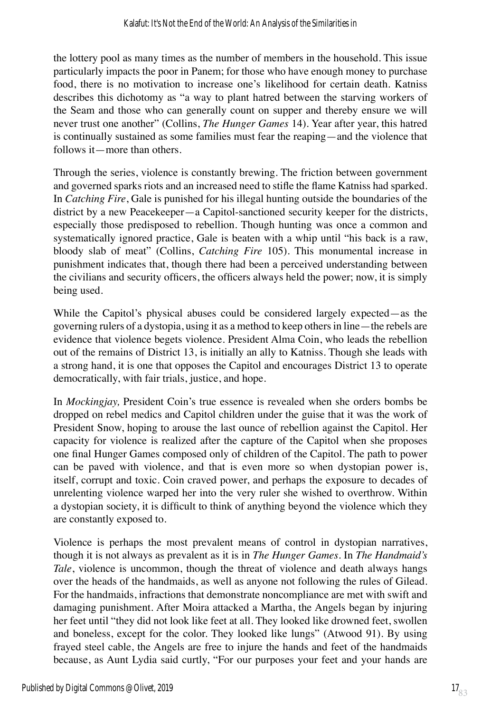the lottery pool as many times as the number of members in the household. This issue particularly impacts the poor in Panem; for those who have enough money to purchase food, there is no motivation to increase one's likelihood for certain death. Katniss describes this dichotomy as "a way to plant hatred between the starving workers of the Seam and those who can generally count on supper and thereby ensure we will never trust one another" (Collins, *The Hunger Games* 14). Year after year, this hatred is continually sustained as some families must fear the reaping—and the violence that follows it—more than others.

Through the series, violence is constantly brewing. The friction between government and governed sparks riots and an increased need to stifle the flame Katniss had sparked. In *Catching Fire*, Gale is punished for his illegal hunting outside the boundaries of the district by a new Peacekeeper—a Capitol-sanctioned security keeper for the districts, especially those predisposed to rebellion. Though hunting was once a common and systematically ignored practice, Gale is beaten with a whip until "his back is a raw, bloody slab of meat" (Collins, *Catching Fire* 105). This monumental increase in punishment indicates that, though there had been a perceived understanding between the civilians and security officers, the officers always held the power; now, it is simply being used.

While the Capitol's physical abuses could be considered largely expected—as the governing rulers of a dystopia, using it as a method to keep others in line—the rebels are evidence that violence begets violence. President Alma Coin, who leads the rebellion out of the remains of District 13, is initially an ally to Katniss. Though she leads with a strong hand, it is one that opposes the Capitol and encourages District 13 to operate democratically, with fair trials, justice, and hope.

In *Mockingjay,* President Coin's true essence is revealed when she orders bombs be dropped on rebel medics and Capitol children under the guise that it was the work of President Snow, hoping to arouse the last ounce of rebellion against the Capitol. Her capacity for violence is realized after the capture of the Capitol when she proposes one final Hunger Games composed only of children of the Capitol. The path to power can be paved with violence, and that is even more so when dystopian power is, itself, corrupt and toxic. Coin craved power, and perhaps the exposure to decades of unrelenting violence warped her into the very ruler she wished to overthrow. Within a dystopian society, it is difficult to think of anything beyond the violence which they are constantly exposed to.

Violence is perhaps the most prevalent means of control in dystopian narratives, though it is not always as prevalent as it is in *The Hunger Games*. In *The Handmaid's Tale*, violence is uncommon, though the threat of violence and death always hangs over the heads of the handmaids, as well as anyone not following the rules of Gilead. For the handmaids, infractions that demonstrate noncompliance are met with swift and damaging punishment. After Moira attacked a Martha, the Angels began by injuring her feet until "they did not look like feet at all. They looked like drowned feet, swollen and boneless, except for the color. They looked like lungs" (Atwood 91). By using frayed steel cable, the Angels are free to injure the hands and feet of the handmaids because, as Aunt Lydia said curtly, "For our purposes your feet and your hands are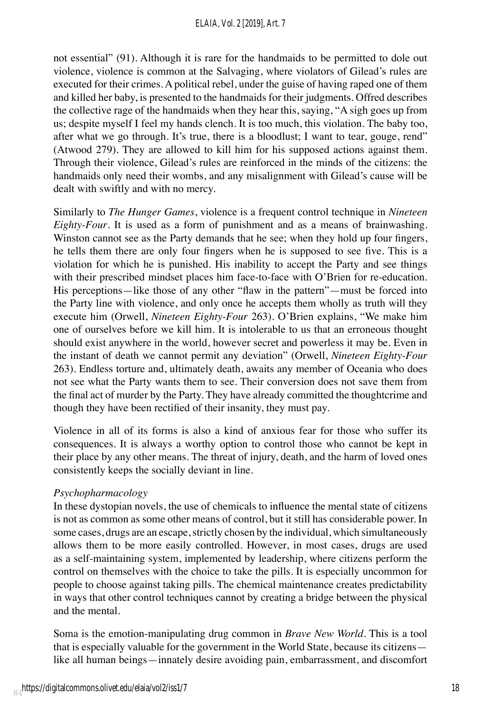#### *ELAIA, Vol. 2 [2019], Art. 7*

not essential" (91). Although it is rare for the handmaids to be permitted to dole out violence, violence is common at the Salvaging, where violators of Gilead's rules are executed for their crimes. A political rebel, under the guise of having raped one of them and killed her baby, is presented to the handmaids for their judgments. Offred describes the collective rage of the handmaids when they hear this, saying, "A sigh goes up from us; despite myself I feel my hands clench. It is too much, this violation. The baby too, after what we go through. It's true, there is a bloodlust; I want to tear, gouge, rend" (Atwood 279). They are allowed to kill him for his supposed actions against them. Through their violence, Gilead's rules are reinforced in the minds of the citizens: the handmaids only need their wombs, and any misalignment with Gilead's cause will be dealt with swiftly and with no mercy.

Similarly to *The Hunger Games*, violence is a frequent control technique in *Nineteen Eighty-Four*. It is used as a form of punishment and as a means of brainwashing. Winston cannot see as the Party demands that he see; when they hold up four fingers, he tells them there are only four fingers when he is supposed to see five. This is a violation for which he is punished. His inability to accept the Party and see things with their prescribed mindset places him face-to-face with O'Brien for re-education. His perceptions—like those of any other "flaw in the pattern"—must be forced into the Party line with violence, and only once he accepts them wholly as truth will they execute him (Orwell, *Nineteen Eighty-Four* 263). O'Brien explains, "We make him one of ourselves before we kill him. It is intolerable to us that an erroneous thought should exist anywhere in the world, however secret and powerless it may be. Even in the instant of death we cannot permit any deviation" (Orwell, *Nineteen Eighty-Four*  263). Endless torture and, ultimately death, awaits any member of Oceania who does not see what the Party wants them to see. Their conversion does not save them from the final act of murder by the Party. They have already committed the thoughtcrime and though they have been rectified of their insanity, they must pay.

Violence in all of its forms is also a kind of anxious fear for those who suffer its consequences. It is always a worthy option to control those who cannot be kept in their place by any other means. The threat of injury, death, and the harm of loved ones consistently keeps the socially deviant in line.

#### *Psychopharmacology*

In these dystopian novels, the use of chemicals to influence the mental state of citizens is not as common as some other means of control, but it still has considerable power. In some cases, drugs are an escape, strictly chosen by the individual, which simultaneously allows them to be more easily controlled. However, in most cases, drugs are used as a self-maintaining system, implemented by leadership, where citizens perform the control on themselves with the choice to take the pills. It is especially uncommon for people to choose against taking pills. The chemical maintenance creates predictability in ways that other control techniques cannot by creating a bridge between the physical and the mental.

Soma is the emotion-manipulating drug common in *Brave New World*. This is a tool that is especially valuable for the government in the World State, because its citizens like all human beings—innately desire avoiding pain, embarrassment, and discomfort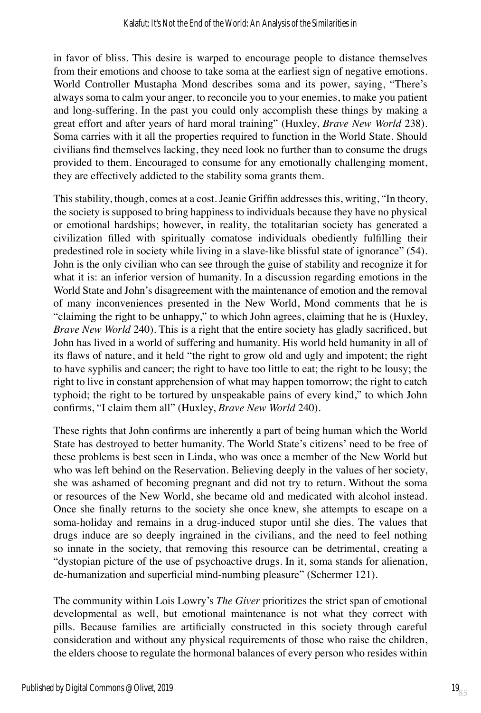in favor of bliss. This desire is warped to encourage people to distance themselves from their emotions and choose to take soma at the earliest sign of negative emotions. World Controller Mustapha Mond describes soma and its power, saying, "There's always soma to calm your anger, to reconcile you to your enemies, to make you patient and long-suffering. In the past you could only accomplish these things by making a great effort and after years of hard moral training" (Huxley, *Brave New World* 238). Soma carries with it all the properties required to function in the World State. Should civilians find themselves lacking, they need look no further than to consume the drugs provided to them. Encouraged to consume for any emotionally challenging moment, they are effectively addicted to the stability soma grants them.

This stability, though, comes at a cost. Jeanie Griffin addresses this, writing, "In theory, the society is supposed to bring happiness to individuals because they have no physical or emotional hardships; however, in reality, the totalitarian society has generated a civilization filled with spiritually comatose individuals obediently fulfilling their predestined role in society while living in a slave-like blissful state of ignorance" (54). John is the only civilian who can see through the guise of stability and recognize it for what it is: an inferior version of humanity. In a discussion regarding emotions in the World State and John's disagreement with the maintenance of emotion and the removal of many inconveniences presented in the New World, Mond comments that he is "claiming the right to be unhappy," to which John agrees, claiming that he is (Huxley, *Brave New World* 240). This is a right that the entire society has gladly sacrificed, but John has lived in a world of suffering and humanity. His world held humanity in all of its flaws of nature, and it held "the right to grow old and ugly and impotent; the right to have syphilis and cancer; the right to have too little to eat; the right to be lousy; the right to live in constant apprehension of what may happen tomorrow; the right to catch typhoid; the right to be tortured by unspeakable pains of every kind," to which John confirms, "I claim them all" (Huxley, *Brave New World* 240).

These rights that John confirms are inherently a part of being human which the World State has destroyed to better humanity. The World State's citizens' need to be free of these problems is best seen in Linda, who was once a member of the New World but who was left behind on the Reservation. Believing deeply in the values of her society, she was ashamed of becoming pregnant and did not try to return. Without the soma or resources of the New World, she became old and medicated with alcohol instead. Once she finally returns to the society she once knew, she attempts to escape on a soma-holiday and remains in a drug-induced stupor until she dies. The values that drugs induce are so deeply ingrained in the civilians, and the need to feel nothing so innate in the society, that removing this resource can be detrimental, creating a "dystopian picture of the use of psychoactive drugs. In it, soma stands for alienation, de-humanization and superficial mind-numbing pleasure" (Schermer 121).

The community within Lois Lowry's *The Giver* prioritizes the strict span of emotional developmental as well, but emotional maintenance is not what they correct with pills. Because families are artificially constructed in this society through careful consideration and without any physical requirements of those who raise the children, the elders choose to regulate the hormonal balances of every person who resides within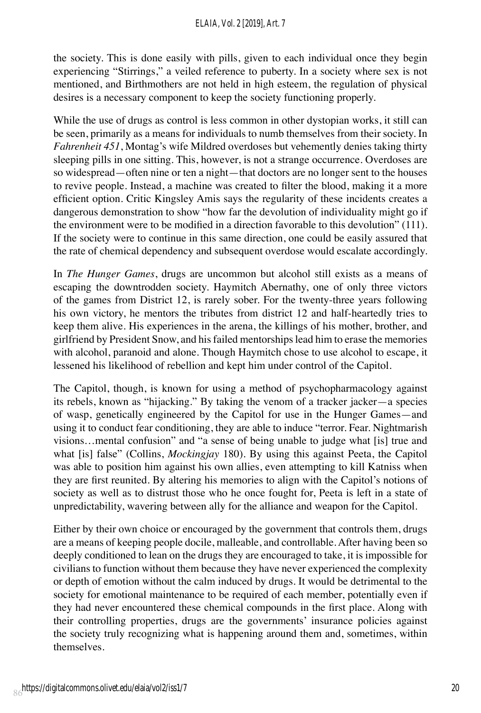the society. This is done easily with pills, given to each individual once they begin experiencing "Stirrings," a veiled reference to puberty. In a society where sex is not mentioned, and Birthmothers are not held in high esteem, the regulation of physical desires is a necessary component to keep the society functioning properly.

While the use of drugs as control is less common in other dystopian works, it still can be seen, primarily as a means for individuals to numb themselves from their society. In *Fahrenheit 451*, Montag's wife Mildred overdoses but vehemently denies taking thirty sleeping pills in one sitting. This, however, is not a strange occurrence. Overdoses are so widespread—often nine or ten a night—that doctors are no longer sent to the houses to revive people. Instead, a machine was created to filter the blood, making it a more efficient option. Critic Kingsley Amis says the regularity of these incidents creates a dangerous demonstration to show "how far the devolution of individuality might go if the environment were to be modified in a direction favorable to this devolution" (111). If the society were to continue in this same direction, one could be easily assured that the rate of chemical dependency and subsequent overdose would escalate accordingly.

In *The Hunger Games*, drugs are uncommon but alcohol still exists as a means of escaping the downtrodden society. Haymitch Abernathy, one of only three victors of the games from District 12, is rarely sober. For the twenty-three years following his own victory, he mentors the tributes from district 12 and half-heartedly tries to keep them alive. His experiences in the arena, the killings of his mother, brother, and girlfriend by President Snow, and his failed mentorships lead him to erase the memories with alcohol, paranoid and alone. Though Haymitch chose to use alcohol to escape, it lessened his likelihood of rebellion and kept him under control of the Capitol.

The Capitol, though, is known for using a method of psychopharmacology against its rebels, known as "hijacking." By taking the venom of a tracker jacker—a species of wasp, genetically engineered by the Capitol for use in the Hunger Games—and using it to conduct fear conditioning, they are able to induce "terror. Fear. Nightmarish visions…mental confusion" and "a sense of being unable to judge what [is] true and what [is] false" (Collins, *Mockingjay* 180). By using this against Peeta, the Capitol was able to position him against his own allies, even attempting to kill Katniss when they are first reunited. By altering his memories to align with the Capitol's notions of society as well as to distrust those who he once fought for, Peeta is left in a state of unpredictability, wavering between ally for the alliance and weapon for the Capitol.

Either by their own choice or encouraged by the government that controls them, drugs are a means of keeping people docile, malleable, and controllable. After having been so deeply conditioned to lean on the drugs they are encouraged to take, it is impossible for civilians to function without them because they have never experienced the complexity or depth of emotion without the calm induced by drugs. It would be detrimental to the society for emotional maintenance to be required of each member, potentially even if they had never encountered these chemical compounds in the first place. Along with their controlling properties, drugs are the governments' insurance policies against the society truly recognizing what is happening around them and, sometimes, within themselves.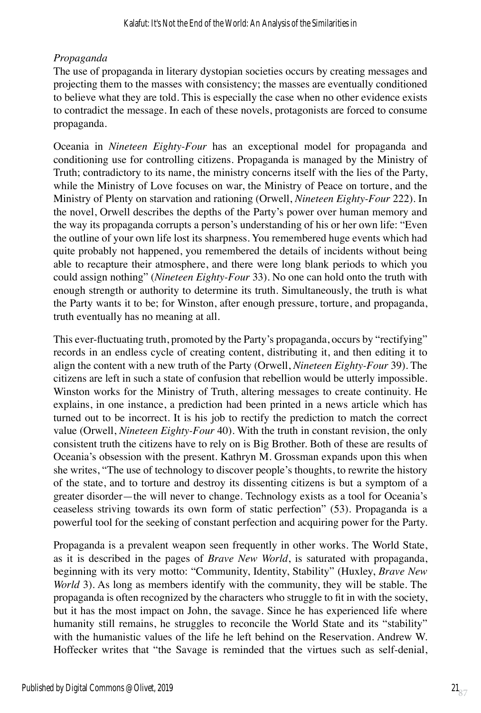## *Propaganda*

The use of propaganda in literary dystopian societies occurs by creating messages and projecting them to the masses with consistency; the masses are eventually conditioned to believe what they are told. This is especially the case when no other evidence exists to contradict the message. In each of these novels, protagonists are forced to consume propaganda.

Oceania in *Nineteen Eighty-Four* has an exceptional model for propaganda and conditioning use for controlling citizens. Propaganda is managed by the Ministry of Truth; contradictory to its name, the ministry concerns itself with the lies of the Party, while the Ministry of Love focuses on war, the Ministry of Peace on torture, and the Ministry of Plenty on starvation and rationing (Orwell, *Nineteen Eighty-Four* 222). In the novel, Orwell describes the depths of the Party's power over human memory and the way its propaganda corrupts a person's understanding of his or her own life: "Even the outline of your own life lost its sharpness. You remembered huge events which had quite probably not happened, you remembered the details of incidents without being able to recapture their atmosphere, and there were long blank periods to which you could assign nothing" (*Nineteen Eighty-Four* 33). No one can hold onto the truth with enough strength or authority to determine its truth. Simultaneously, the truth is what the Party wants it to be; for Winston, after enough pressure, torture, and propaganda, truth eventually has no meaning at all.

This ever-fluctuating truth, promoted by the Party's propaganda, occurs by "rectifying" records in an endless cycle of creating content, distributing it, and then editing it to align the content with a new truth of the Party (Orwell, *Nineteen Eighty-Four* 39). The citizens are left in such a state of confusion that rebellion would be utterly impossible. Winston works for the Ministry of Truth, altering messages to create continuity. He explains, in one instance, a prediction had been printed in a news article which has turned out to be incorrect. It is his job to rectify the prediction to match the correct value (Orwell, *Nineteen Eighty-Four* 40). With the truth in constant revision, the only consistent truth the citizens have to rely on is Big Brother. Both of these are results of Oceania's obsession with the present. Kathryn M. Grossman expands upon this when she writes, "The use of technology to discover people's thoughts, to rewrite the history of the state, and to torture and destroy its dissenting citizens is but a symptom of a greater disorder—the will never to change. Technology exists as a tool for Oceania's ceaseless striving towards its own form of static perfection" (53). Propaganda is a powerful tool for the seeking of constant perfection and acquiring power for the Party.

Propaganda is a prevalent weapon seen frequently in other works. The World State, as it is described in the pages of *Brave New World*, is saturated with propaganda, beginning with its very motto: "Community, Identity, Stability" (Huxley, *Brave New World* 3). As long as members identify with the community, they will be stable. The propaganda is often recognized by the characters who struggle to fit in with the society, but it has the most impact on John, the savage. Since he has experienced life where humanity still remains, he struggles to reconcile the World State and its "stability" with the humanistic values of the life he left behind on the Reservation. Andrew W. Hoffecker writes that "the Savage is reminded that the virtues such as self-denial,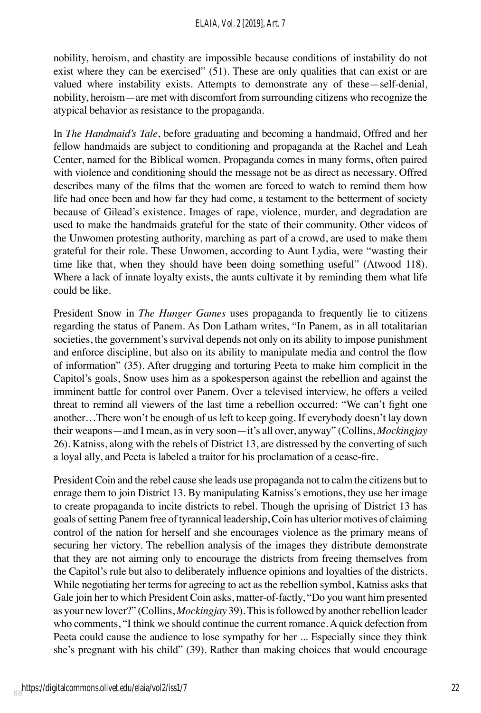nobility, heroism, and chastity are impossible because conditions of instability do not exist where they can be exercised" (51). These are only qualities that can exist or are valued where instability exists. Attempts to demonstrate any of these—self-denial, nobility, heroism—are met with discomfort from surrounding citizens who recognize the atypical behavior as resistance to the propaganda.

In *The Handmaid's Tale*, before graduating and becoming a handmaid, Offred and her fellow handmaids are subject to conditioning and propaganda at the Rachel and Leah Center, named for the Biblical women. Propaganda comes in many forms, often paired with violence and conditioning should the message not be as direct as necessary. Offred describes many of the films that the women are forced to watch to remind them how life had once been and how far they had come, a testament to the betterment of society because of Gilead's existence. Images of rape, violence, murder, and degradation are used to make the handmaids grateful for the state of their community. Other videos of the Unwomen protesting authority, marching as part of a crowd, are used to make them grateful for their role. These Unwomen, according to Aunt Lydia, were "wasting their time like that, when they should have been doing something useful" (Atwood 118). Where a lack of innate loyalty exists, the aunts cultivate it by reminding them what life could be like.

President Snow in *The Hunger Games* uses propaganda to frequently lie to citizens regarding the status of Panem. As Don Latham writes, "In Panem, as in all totalitarian societies, the government's survival depends not only on its ability to impose punishment and enforce discipline, but also on its ability to manipulate media and control the flow of information" (35). After drugging and torturing Peeta to make him complicit in the Capitol's goals, Snow uses him as a spokesperson against the rebellion and against the imminent battle for control over Panem. Over a televised interview, he offers a veiled threat to remind all viewers of the last time a rebellion occurred: "We can't fight one another…There won't be enough of us left to keep going. If everybody doesn't lay down their weapons—and I mean, as in very soon—it's all over, anyway" (Collins, *Mockingjay* 26). Katniss, along with the rebels of District 13, are distressed by the converting of such a loyal ally, and Peeta is labeled a traitor for his proclamation of a cease-fire.

President Coin and the rebel cause she leads use propaganda not to calm the citizens but to enrage them to join District 13. By manipulating Katniss's emotions, they use her image to create propaganda to incite districts to rebel. Though the uprising of District 13 has goals of setting Panem free of tyrannical leadership, Coin has ulterior motives of claiming control of the nation for herself and she encourages violence as the primary means of securing her victory. The rebellion analysis of the images they distribute demonstrate that they are not aiming only to encourage the districts from freeing themselves from the Capitol's rule but also to deliberately influence opinions and loyalties of the districts. While negotiating her terms for agreeing to act as the rebellion symbol, Katniss asks that Gale join her to which President Coin asks, matter-of-factly, "Do you want him presented as your new lover?" (Collins, *Mockingjay* 39). This is followed by another rebellion leader who comments, "I think we should continue the current romance. A quick defection from Peeta could cause the audience to lose sympathy for her ... Especially since they think she's pregnant with his child" (39). Rather than making choices that would encourage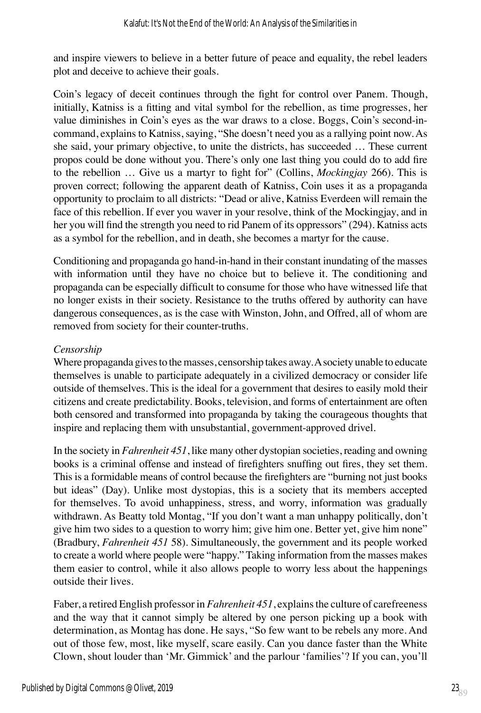and inspire viewers to believe in a better future of peace and equality, the rebel leaders plot and deceive to achieve their goals.

Coin's legacy of deceit continues through the fight for control over Panem. Though, initially, Katniss is a fitting and vital symbol for the rebellion, as time progresses, her value diminishes in Coin's eyes as the war draws to a close. Boggs, Coin's second-incommand, explains to Katniss, saying, "She doesn't need you as a rallying point now. As she said, your primary objective, to unite the districts, has succeeded … These current propos could be done without you. There's only one last thing you could do to add fire to the rebellion … Give us a martyr to fight for" (Collins, *Mockingjay* 266). This is proven correct; following the apparent death of Katniss, Coin uses it as a propaganda opportunity to proclaim to all districts: "Dead or alive, Katniss Everdeen will remain the face of this rebellion. If ever you waver in your resolve, think of the Mockingjay, and in her you will find the strength you need to rid Panem of its oppressors" (294). Katniss acts as a symbol for the rebellion, and in death, she becomes a martyr for the cause.

Conditioning and propaganda go hand-in-hand in their constant inundating of the masses with information until they have no choice but to believe it. The conditioning and propaganda can be especially difficult to consume for those who have witnessed life that no longer exists in their society. Resistance to the truths offered by authority can have dangerous consequences, as is the case with Winston, John, and Offred, all of whom are removed from society for their counter-truths.

## *Censorship*

Where propaganda gives to the masses, censorship takes away. A society unable to educate themselves is unable to participate adequately in a civilized democracy or consider life outside of themselves. This is the ideal for a government that desires to easily mold their citizens and create predictability. Books, television, and forms of entertainment are often both censored and transformed into propaganda by taking the courageous thoughts that inspire and replacing them with unsubstantial, government-approved drivel.

In the society in *Fahrenheit 451*, like many other dystopian societies, reading and owning books is a criminal offense and instead of firefighters snuffing out fires, they set them. This is a formidable means of control because the firefighters are "burning not just books but ideas" (Day). Unlike most dystopias, this is a society that its members accepted for themselves. To avoid unhappiness, stress, and worry, information was gradually withdrawn. As Beatty told Montag, "If you don't want a man unhappy politically, don't give him two sides to a question to worry him; give him one. Better yet, give him none" (Bradbury, *Fahrenheit 451* 58). Simultaneously, the government and its people worked to create a world where people were "happy." Taking information from the masses makes them easier to control, while it also allows people to worry less about the happenings outside their lives.

Faber, a retired English professor in *Fahrenheit 451*, explains the culture of carefreeness and the way that it cannot simply be altered by one person picking up a book with determination, as Montag has done. He says, "So few want to be rebels any more. And out of those few, most, like myself, scare easily. Can you dance faster than the White Clown, shout louder than 'Mr. Gimmick' and the parlour 'families'? If you can, you'll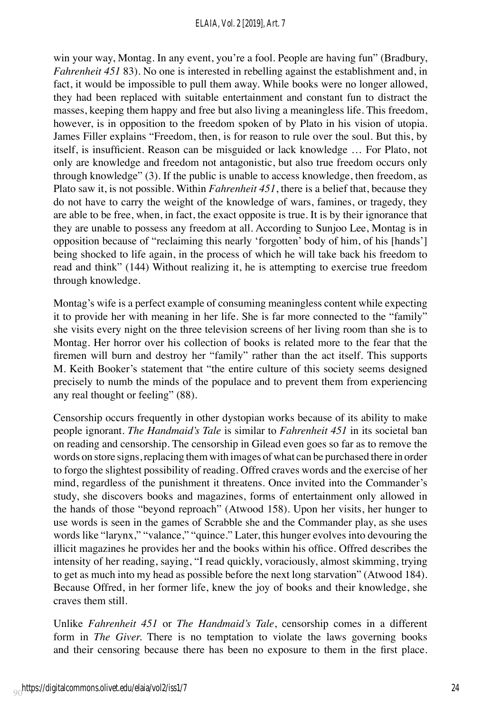win your way, Montag. In any event, you're a fool. People are having fun" (Bradbury, *Fahrenheit 451* 83). No one is interested in rebelling against the establishment and, in fact, it would be impossible to pull them away. While books were no longer allowed, they had been replaced with suitable entertainment and constant fun to distract the masses, keeping them happy and free but also living a meaningless life. This freedom, however, is in opposition to the freedom spoken of by Plato in his vision of utopia. James Filler explains "Freedom, then, is for reason to rule over the soul. But this, by itself, is insufficient. Reason can be misguided or lack knowledge … For Plato, not only are knowledge and freedom not antagonistic, but also true freedom occurs only through knowledge" (3). If the public is unable to access knowledge, then freedom, as Plato saw it, is not possible. Within *Fahrenheit 451*, there is a belief that, because they do not have to carry the weight of the knowledge of wars, famines, or tragedy, they are able to be free, when, in fact, the exact opposite is true. It is by their ignorance that they are unable to possess any freedom at all. According to Sunjoo Lee, Montag is in opposition because of "reclaiming this nearly 'forgotten' body of him, of his [hands'] being shocked to life again, in the process of which he will take back his freedom to read and think" (144) Without realizing it, he is attempting to exercise true freedom through knowledge.

Montag's wife is a perfect example of consuming meaningless content while expecting it to provide her with meaning in her life. She is far more connected to the "family" she visits every night on the three television screens of her living room than she is to Montag. Her horror over his collection of books is related more to the fear that the firemen will burn and destroy her "family" rather than the act itself. This supports M. Keith Booker's statement that "the entire culture of this society seems designed precisely to numb the minds of the populace and to prevent them from experiencing any real thought or feeling" (88).

Censorship occurs frequently in other dystopian works because of its ability to make people ignorant. *The Handmaid's Tale* is similar to *Fahrenheit 451* in its societal ban on reading and censorship. The censorship in Gilead even goes so far as to remove the words on store signs, replacing them with images of what can be purchased there in order to forgo the slightest possibility of reading. Offred craves words and the exercise of her mind, regardless of the punishment it threatens. Once invited into the Commander's study, she discovers books and magazines, forms of entertainment only allowed in the hands of those "beyond reproach" (Atwood 158). Upon her visits, her hunger to use words is seen in the games of Scrabble she and the Commander play, as she uses words like "larynx," "valance," "quince." Later, this hunger evolves into devouring the illicit magazines he provides her and the books within his office. Offred describes the intensity of her reading, saying, "I read quickly, voraciously, almost skimming, trying to get as much into my head as possible before the next long starvation" (Atwood 184). Because Offred, in her former life, knew the joy of books and their knowledge, she craves them still.

Unlike *Fahrenheit 451* or *The Handmaid's Tale*, censorship comes in a different form in *The Giver.* There is no temptation to violate the laws governing books and their censoring because there has been no exposure to them in the first place.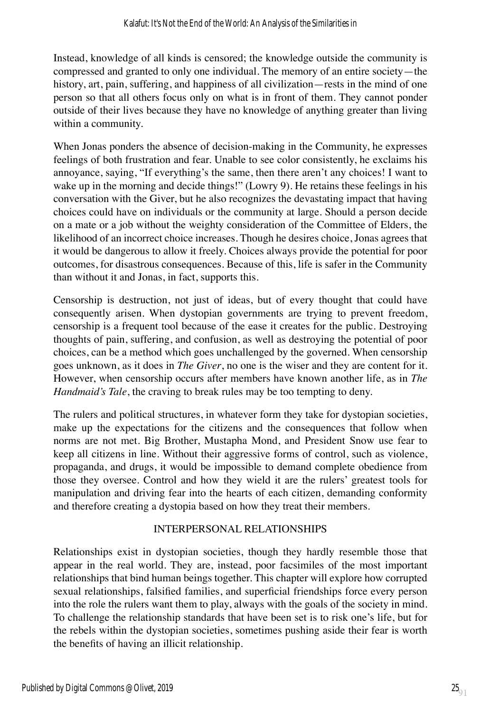Instead, knowledge of all kinds is censored; the knowledge outside the community is compressed and granted to only one individual. The memory of an entire society—the history, art, pain, suffering, and happiness of all civilization—rests in the mind of one person so that all others focus only on what is in front of them. They cannot ponder outside of their lives because they have no knowledge of anything greater than living within a community.

When Jonas ponders the absence of decision-making in the Community, he expresses feelings of both frustration and fear. Unable to see color consistently, he exclaims his annoyance, saying, "If everything's the same, then there aren't any choices! I want to wake up in the morning and decide things!" (Lowry 9). He retains these feelings in his conversation with the Giver, but he also recognizes the devastating impact that having choices could have on individuals or the community at large. Should a person decide on a mate or a job without the weighty consideration of the Committee of Elders, the likelihood of an incorrect choice increases. Though he desires choice, Jonas agrees that it would be dangerous to allow it freely. Choices always provide the potential for poor outcomes, for disastrous consequences. Because of this, life is safer in the Community than without it and Jonas, in fact, supports this.

Censorship is destruction, not just of ideas, but of every thought that could have consequently arisen. When dystopian governments are trying to prevent freedom, censorship is a frequent tool because of the ease it creates for the public. Destroying thoughts of pain, suffering, and confusion, as well as destroying the potential of poor choices, can be a method which goes unchallenged by the governed. When censorship goes unknown, as it does in *The Giver*, no one is the wiser and they are content for it. However, when censorship occurs after members have known another life, as in *The Handmaid's Tale*, the craving to break rules may be too tempting to deny.

The rulers and political structures, in whatever form they take for dystopian societies, make up the expectations for the citizens and the consequences that follow when norms are not met. Big Brother, Mustapha Mond, and President Snow use fear to keep all citizens in line. Without their aggressive forms of control, such as violence, propaganda, and drugs, it would be impossible to demand complete obedience from those they oversee. Control and how they wield it are the rulers' greatest tools for manipulation and driving fear into the hearts of each citizen, demanding conformity and therefore creating a dystopia based on how they treat their members.

## INTERPERSONAL RELATIONSHIPS

Relationships exist in dystopian societies, though they hardly resemble those that appear in the real world. They are, instead, poor facsimiles of the most important relationships that bind human beings together. This chapter will explore how corrupted sexual relationships, falsified families, and superficial friendships force every person into the role the rulers want them to play, always with the goals of the society in mind. To challenge the relationship standards that have been set is to risk one's life, but for the rebels within the dystopian societies, sometimes pushing aside their fear is worth the benefits of having an illicit relationship.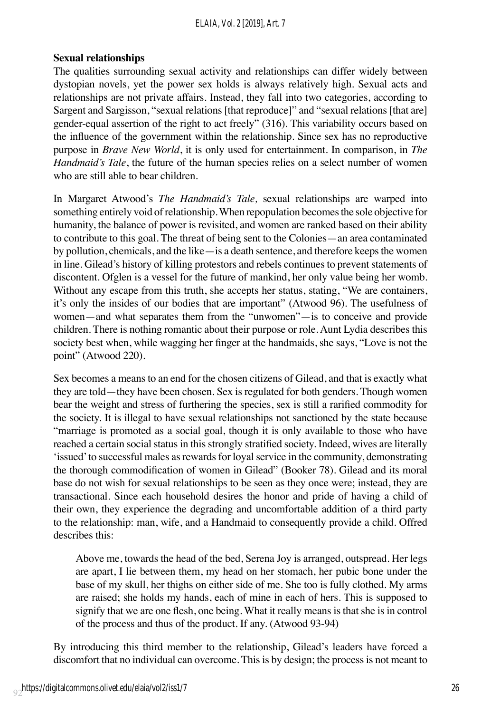#### *ELAIA, Vol. 2 [2019], Art. 7*

#### **Sexual relationships**

The qualities surrounding sexual activity and relationships can differ widely between dystopian novels, yet the power sex holds is always relatively high. Sexual acts and relationships are not private affairs. Instead, they fall into two categories, according to Sargent and Sargisson, "sexual relations [that reproduce]" and "sexual relations [that are] gender-equal assertion of the right to act freely" (316). This variability occurs based on the influence of the government within the relationship. Since sex has no reproductive purpose in *Brave New World*, it is only used for entertainment. In comparison, in *The Handmaid's Tale*, the future of the human species relies on a select number of women who are still able to bear children.

In Margaret Atwood's *The Handmaid's Tale,* sexual relationships are warped into something entirely void of relationship. When repopulation becomes the sole objective for humanity, the balance of power is revisited, and women are ranked based on their ability to contribute to this goal. The threat of being sent to the Colonies—an area contaminated by pollution, chemicals, and the like—is a death sentence, and therefore keeps the women in line. Gilead's history of killing protestors and rebels continues to prevent statements of discontent. Ofglen is a vessel for the future of mankind, her only value being her womb. Without any escape from this truth, she accepts her status, stating, "We are containers, it's only the insides of our bodies that are important" (Atwood 96). The usefulness of women—and what separates them from the "unwomen"—is to conceive and provide children. There is nothing romantic about their purpose or role. Aunt Lydia describes this society best when, while wagging her finger at the handmaids, she says, "Love is not the point" (Atwood 220).

Sex becomes a means to an end for the chosen citizens of Gilead, and that is exactly what they are told—they have been chosen. Sex is regulated for both genders. Though women bear the weight and stress of furthering the species, sex is still a rarified commodity for the society. It is illegal to have sexual relationships not sanctioned by the state because "marriage is promoted as a social goal, though it is only available to those who have reached a certain social status in this strongly stratified society. Indeed, wives are literally 'issued' to successful males as rewards for loyal service in the community, demonstrating the thorough commodification of women in Gilead" (Booker 78). Gilead and its moral base do not wish for sexual relationships to be seen as they once were; instead, they are transactional. Since each household desires the honor and pride of having a child of their own, they experience the degrading and uncomfortable addition of a third party to the relationship: man, wife, and a Handmaid to consequently provide a child. Offred describes this:

Above me, towards the head of the bed, Serena Joy is arranged, outspread. Her legs are apart, I lie between them, my head on her stomach, her pubic bone under the base of my skull, her thighs on either side of me. She too is fully clothed. My arms are raised; she holds my hands, each of mine in each of hers. This is supposed to signify that we are one flesh, one being. What it really means is that she is in control of the process and thus of the product. If any. (Atwood 93-94)

By introducing this third member to the relationship, Gilead's leaders have forced a discomfort that no individual can overcome. This is by design; the process is not meant to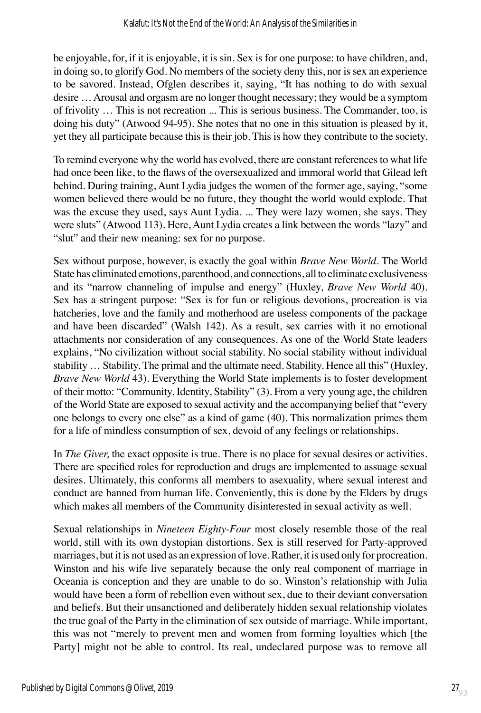be enjoyable, for, if it is enjoyable, it is sin. Sex is for one purpose: to have children, and, in doing so, to glorify God. No members of the society deny this, nor is sex an experience to be savored. Instead, Ofglen describes it, saying, "It has nothing to do with sexual desire … Arousal and orgasm are no longer thought necessary; they would be a symptom of frivolity … This is not recreation ... This is serious business. The Commander, too, is doing his duty" (Atwood 94-95). She notes that no one in this situation is pleased by it, yet they all participate because this is their job. This is how they contribute to the society.

To remind everyone why the world has evolved, there are constant references to what life had once been like, to the flaws of the oversexualized and immoral world that Gilead left behind. During training, Aunt Lydia judges the women of the former age, saying, "some women believed there would be no future, they thought the world would explode. That was the excuse they used, says Aunt Lydia. ... They were lazy women, she says. They were sluts" (Atwood 113). Here, Aunt Lydia creates a link between the words "lazy" and "slut" and their new meaning: sex for no purpose.

Sex without purpose, however, is exactly the goal within *Brave New World*. The World State has eliminated emotions, parenthood, and connections, all to eliminate exclusiveness and its "narrow channeling of impulse and energy" (Huxley, *Brave New World* 40). Sex has a stringent purpose: "Sex is for fun or religious devotions, procreation is via hatcheries, love and the family and motherhood are useless components of the package and have been discarded" (Walsh 142). As a result, sex carries with it no emotional attachments nor consideration of any consequences. As one of the World State leaders explains, "No civilization without social stability. No social stability without individual stability … Stability. The primal and the ultimate need. Stability. Hence all this" (Huxley, *Brave New World* 43). Everything the World State implements is to foster development of their motto: "Community, Identity, Stability" (3). From a very young age, the children of the World State are exposed to sexual activity and the accompanying belief that "every one belongs to every one else" as a kind of game (40). This normalization primes them for a life of mindless consumption of sex, devoid of any feelings or relationships.

In *The Giver,* the exact opposite is true. There is no place for sexual desires or activities. There are specified roles for reproduction and drugs are implemented to assuage sexual desires. Ultimately, this conforms all members to asexuality, where sexual interest and conduct are banned from human life. Conveniently, this is done by the Elders by drugs which makes all members of the Community disinterested in sexual activity as well.

Sexual relationships in *Nineteen Eighty-Four* most closely resemble those of the real world, still with its own dystopian distortions. Sex is still reserved for Party-approved marriages, but it is not used as an expression of love. Rather, it is used only for procreation. Winston and his wife live separately because the only real component of marriage in Oceania is conception and they are unable to do so. Winston's relationship with Julia would have been a form of rebellion even without sex, due to their deviant conversation and beliefs. But their unsanctioned and deliberately hidden sexual relationship violates the true goal of the Party in the elimination of sex outside of marriage. While important, this was not "merely to prevent men and women from forming loyalties which [the Party] might not be able to control. Its real, undeclared purpose was to remove all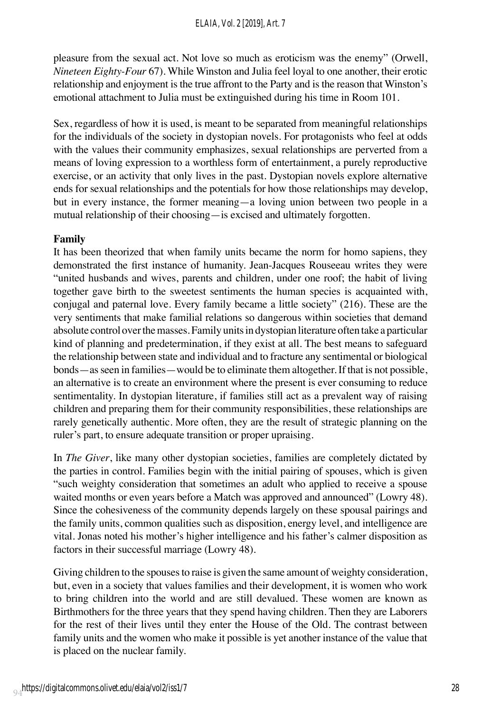pleasure from the sexual act. Not love so much as eroticism was the enemy" (Orwell, *Nineteen Eighty-Four* 67). While Winston and Julia feel loyal to one another, their erotic relationship and enjoyment is the true affront to the Party and is the reason that Winston's emotional attachment to Julia must be extinguished during his time in Room 101.

Sex, regardless of how it is used, is meant to be separated from meaningful relationships for the individuals of the society in dystopian novels. For protagonists who feel at odds with the values their community emphasizes, sexual relationships are perverted from a means of loving expression to a worthless form of entertainment, a purely reproductive exercise, or an activity that only lives in the past. Dystopian novels explore alternative ends for sexual relationships and the potentials for how those relationships may develop, but in every instance, the former meaning—a loving union between two people in a mutual relationship of their choosing—is excised and ultimately forgotten.

## **Family**

It has been theorized that when family units became the norm for homo sapiens, they demonstrated the first instance of humanity. Jean-Jacques Rouseeau writes they were "united husbands and wives, parents and children, under one roof; the habit of living together gave birth to the sweetest sentiments the human species is acquainted with, conjugal and paternal love. Every family became a little society" (216). These are the very sentiments that make familial relations so dangerous within societies that demand absolute control over the masses. Family units in dystopian literature often take a particular kind of planning and predetermination, if they exist at all. The best means to safeguard the relationship between state and individual and to fracture any sentimental or biological bonds—as seen in families—would be to eliminate them altogether. If that is not possible, an alternative is to create an environment where the present is ever consuming to reduce sentimentality. In dystopian literature, if families still act as a prevalent way of raising children and preparing them for their community responsibilities, these relationships are rarely genetically authentic. More often, they are the result of strategic planning on the ruler's part, to ensure adequate transition or proper upraising.

In *The Giver*, like many other dystopian societies, families are completely dictated by the parties in control. Families begin with the initial pairing of spouses, which is given "such weighty consideration that sometimes an adult who applied to receive a spouse waited months or even years before a Match was approved and announced" (Lowry 48). Since the cohesiveness of the community depends largely on these spousal pairings and the family units, common qualities such as disposition, energy level, and intelligence are vital. Jonas noted his mother's higher intelligence and his father's calmer disposition as factors in their successful marriage (Lowry 48).

Giving children to the spouses to raise is given the same amount of weighty consideration, but, even in a society that values families and their development, it is women who work to bring children into the world and are still devalued. These women are known as Birthmothers for the three years that they spend having children. Then they are Laborers for the rest of their lives until they enter the House of the Old. The contrast between family units and the women who make it possible is yet another instance of the value that is placed on the nuclear family.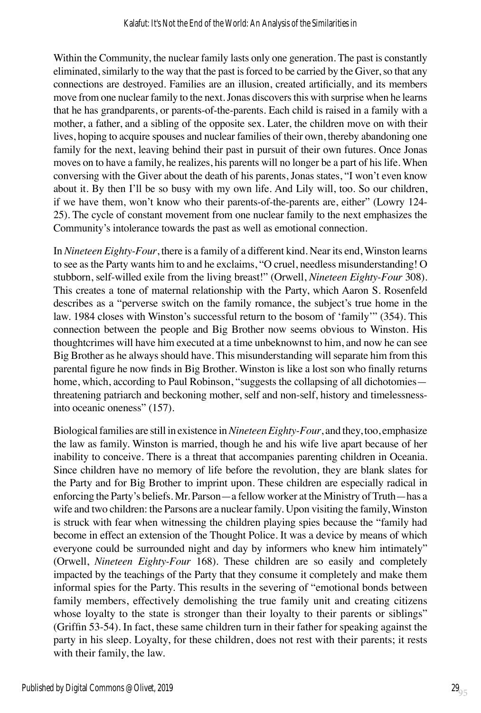Within the Community, the nuclear family lasts only one generation. The past is constantly eliminated, similarly to the way that the past is forced to be carried by the Giver, so that any connections are destroyed. Families are an illusion, created artificially, and its members move from one nuclear family to the next. Jonas discovers this with surprise when he learns that he has grandparents, or parents-of-the-parents. Each child is raised in a family with a mother, a father, and a sibling of the opposite sex. Later, the children move on with their lives, hoping to acquire spouses and nuclear families of their own, thereby abandoning one family for the next, leaving behind their past in pursuit of their own futures. Once Jonas moves on to have a family, he realizes, his parents will no longer be a part of his life. When conversing with the Giver about the death of his parents, Jonas states, "I won't even know about it. By then I'll be so busy with my own life. And Lily will, too. So our children, if we have them, won't know who their parents-of-the-parents are, either" (Lowry 124- 25). The cycle of constant movement from one nuclear family to the next emphasizes the Community's intolerance towards the past as well as emotional connection.

In *Nineteen Eighty-Four*, there is a family of a different kind. Near its end, Winston learns to see as the Party wants him to and he exclaims, "O cruel, needless misunderstanding! O stubborn, self-willed exile from the living breast!" (Orwell, *Nineteen Eighty-Four* 308). This creates a tone of maternal relationship with the Party, which Aaron S. Rosenfeld describes as a "perverse switch on the family romance, the subject's true home in the law. 1984 closes with Winston's successful return to the bosom of 'family'" (354). This connection between the people and Big Brother now seems obvious to Winston. His thoughtcrimes will have him executed at a time unbeknownst to him, and now he can see Big Brother as he always should have. This misunderstanding will separate him from this parental figure he now finds in Big Brother. Winston is like a lost son who finally returns home, which, according to Paul Robinson, "suggests the collapsing of all dichotomies threatening patriarch and beckoning mother, self and non-self, history and timelessnessinto oceanic oneness" (157).

Biological families are still in existence in *Nineteen Eighty-Four*, and they, too, emphasize the law as family. Winston is married, though he and his wife live apart because of her inability to conceive. There is a threat that accompanies parenting children in Oceania. Since children have no memory of life before the revolution, they are blank slates for the Party and for Big Brother to imprint upon. These children are especially radical in enforcing the Party's beliefs. Mr. Parson—a fellow worker at the Ministry of Truth—has a wife and two children: the Parsons are a nuclear family. Upon visiting the family, Winston is struck with fear when witnessing the children playing spies because the "family had become in effect an extension of the Thought Police. It was a device by means of which everyone could be surrounded night and day by informers who knew him intimately" (Orwell, *Nineteen Eighty-Four* 168). These children are so easily and completely impacted by the teachings of the Party that they consume it completely and make them informal spies for the Party. This results in the severing of "emotional bonds between family members, effectively demolishing the true family unit and creating citizens whose loyalty to the state is stronger than their loyalty to their parents or siblings" (Griffin 53-54). In fact, these same children turn in their father for speaking against the party in his sleep. Loyalty, for these children, does not rest with their parents; it rests with their family, the law.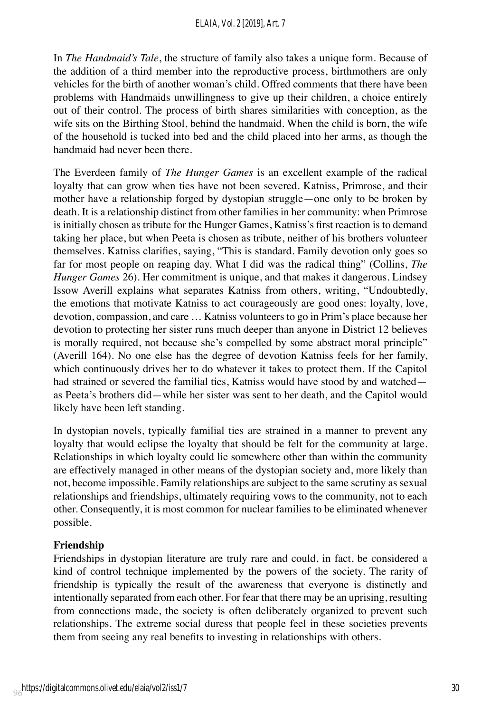In *The Handmaid's Tale*, the structure of family also takes a unique form. Because of the addition of a third member into the reproductive process, birthmothers are only vehicles for the birth of another woman's child. Offred comments that there have been problems with Handmaids unwillingness to give up their children, a choice entirely out of their control. The process of birth shares similarities with conception, as the wife sits on the Birthing Stool, behind the handmaid. When the child is born, the wife of the household is tucked into bed and the child placed into her arms, as though the handmaid had never been there.

The Everdeen family of *The Hunger Games* is an excellent example of the radical loyalty that can grow when ties have not been severed. Katniss, Primrose, and their mother have a relationship forged by dystopian struggle—one only to be broken by death. It is a relationship distinct from other families in her community: when Primrose is initially chosen as tribute for the Hunger Games, Katniss's first reaction is to demand taking her place, but when Peeta is chosen as tribute, neither of his brothers volunteer themselves. Katniss clarifies, saying, "This is standard. Family devotion only goes so far for most people on reaping day. What I did was the radical thing" (Collins, *The Hunger Games* 26). Her commitment is unique, and that makes it dangerous. Lindsey Issow Averill explains what separates Katniss from others, writing, "Undoubtedly, the emotions that motivate Katniss to act courageously are good ones: loyalty, love, devotion, compassion, and care … Katniss volunteers to go in Prim's place because her devotion to protecting her sister runs much deeper than anyone in District 12 believes is morally required, not because she's compelled by some abstract moral principle" (Averill 164). No one else has the degree of devotion Katniss feels for her family, which continuously drives her to do whatever it takes to protect them. If the Capitol had strained or severed the familial ties, Katniss would have stood by and watched as Peeta's brothers did—while her sister was sent to her death, and the Capitol would likely have been left standing.

In dystopian novels, typically familial ties are strained in a manner to prevent any loyalty that would eclipse the loyalty that should be felt for the community at large. Relationships in which loyalty could lie somewhere other than within the community are effectively managed in other means of the dystopian society and, more likely than not, become impossible. Family relationships are subject to the same scrutiny as sexual relationships and friendships, ultimately requiring vows to the community, not to each other. Consequently, it is most common for nuclear families to be eliminated whenever possible.

## **Friendship**

Friendships in dystopian literature are truly rare and could, in fact, be considered a kind of control technique implemented by the powers of the society. The rarity of friendship is typically the result of the awareness that everyone is distinctly and intentionally separated from each other. For fear that there may be an uprising, resulting from connections made, the society is often deliberately organized to prevent such relationships. The extreme social duress that people feel in these societies prevents them from seeing any real benefits to investing in relationships with others.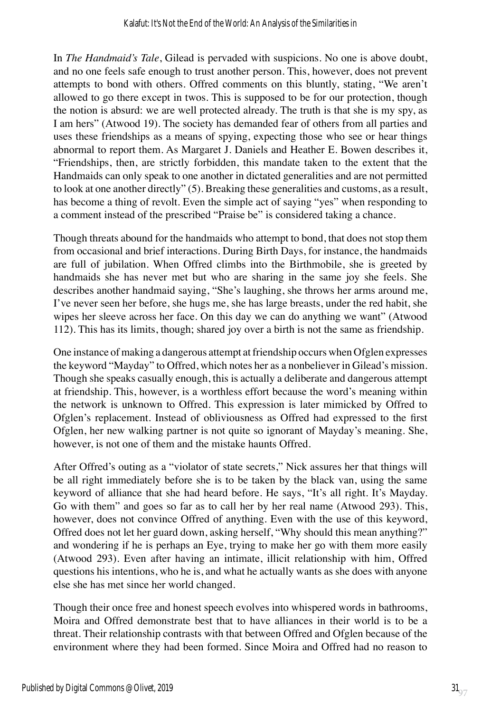In *The Handmaid's Tale*, Gilead is pervaded with suspicions. No one is above doubt, and no one feels safe enough to trust another person. This, however, does not prevent attempts to bond with others. Offred comments on this bluntly, stating, "We aren't allowed to go there except in twos. This is supposed to be for our protection, though the notion is absurd: we are well protected already. The truth is that she is my spy, as I am hers" (Atwood 19). The society has demanded fear of others from all parties and uses these friendships as a means of spying, expecting those who see or hear things abnormal to report them. As Margaret J. Daniels and Heather E. Bowen describes it, "Friendships, then, are strictly forbidden, this mandate taken to the extent that the Handmaids can only speak to one another in dictated generalities and are not permitted to look at one another directly" (5). Breaking these generalities and customs, as a result, has become a thing of revolt. Even the simple act of saying "yes" when responding to a comment instead of the prescribed "Praise be" is considered taking a chance.

Though threats abound for the handmaids who attempt to bond, that does not stop them from occasional and brief interactions. During Birth Days, for instance, the handmaids are full of jubilation. When Offred climbs into the Birthmobile, she is greeted by handmaids she has never met but who are sharing in the same joy she feels. She describes another handmaid saying, "She's laughing, she throws her arms around me, I've never seen her before, she hugs me, she has large breasts, under the red habit, she wipes her sleeve across her face. On this day we can do anything we want" (Atwood 112). This has its limits, though; shared joy over a birth is not the same as friendship.

One instance of making a dangerous attempt at friendship occurs when Ofglen expresses the keyword "Mayday" to Offred, which notes her as a nonbeliever in Gilead's mission. Though she speaks casually enough, this is actually a deliberate and dangerous attempt at friendship. This, however, is a worthless effort because the word's meaning within the network is unknown to Offred. This expression is later mimicked by Offred to Ofglen's replacement. Instead of obliviousness as Offred had expressed to the first Ofglen, her new walking partner is not quite so ignorant of Mayday's meaning. She, however, is not one of them and the mistake haunts Offred.

After Offred's outing as a "violator of state secrets," Nick assures her that things will be all right immediately before she is to be taken by the black van, using the same keyword of alliance that she had heard before. He says, "It's all right. It's Mayday. Go with them" and goes so far as to call her by her real name (Atwood 293). This, however, does not convince Offred of anything. Even with the use of this keyword, Offred does not let her guard down, asking herself, "Why should this mean anything?" and wondering if he is perhaps an Eye, trying to make her go with them more easily (Atwood 293). Even after having an intimate, illicit relationship with him, Offred questions his intentions, who he is, and what he actually wants as she does with anyone else she has met since her world changed.

Though their once free and honest speech evolves into whispered words in bathrooms, Moira and Offred demonstrate best that to have alliances in their world is to be a threat. Their relationship contrasts with that between Offred and Ofglen because of the environment where they had been formed. Since Moira and Offred had no reason to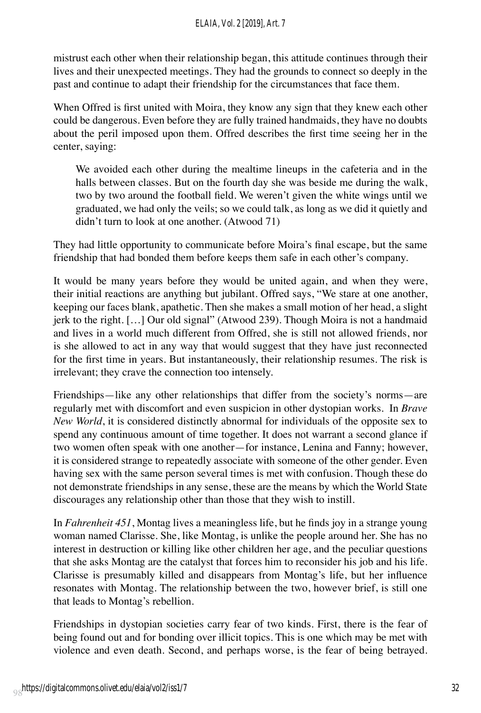#### *ELAIA, Vol. 2 [2019], Art. 7*

mistrust each other when their relationship began, this attitude continues through their lives and their unexpected meetings. They had the grounds to connect so deeply in the past and continue to adapt their friendship for the circumstances that face them.

When Offred is first united with Moira, they know any sign that they knew each other could be dangerous. Even before they are fully trained handmaids, they have no doubts about the peril imposed upon them. Offred describes the first time seeing her in the center, saying:

We avoided each other during the mealtime lineups in the cafeteria and in the halls between classes. But on the fourth day she was beside me during the walk, two by two around the football field. We weren't given the white wings until we graduated, we had only the veils; so we could talk, as long as we did it quietly and didn't turn to look at one another. (Atwood 71)

They had little opportunity to communicate before Moira's final escape, but the same friendship that had bonded them before keeps them safe in each other's company.

It would be many years before they would be united again, and when they were, their initial reactions are anything but jubilant. Offred says, "We stare at one another, keeping our faces blank, apathetic. Then she makes a small motion of her head, a slight jerk to the right. […] Our old signal" (Atwood 239). Though Moira is not a handmaid and lives in a world much different from Offred, she is still not allowed friends, nor is she allowed to act in any way that would suggest that they have just reconnected for the first time in years. But instantaneously, their relationship resumes. The risk is irrelevant; they crave the connection too intensely.

Friendships—like any other relationships that differ from the society's norms—are regularly met with discomfort and even suspicion in other dystopian works. In *Brave New World*, it is considered distinctly abnormal for individuals of the opposite sex to spend any continuous amount of time together. It does not warrant a second glance if two women often speak with one another—for instance, Lenina and Fanny; however, it is considered strange to repeatedly associate with someone of the other gender. Even having sex with the same person several times is met with confusion. Though these do not demonstrate friendships in any sense, these are the means by which the World State discourages any relationship other than those that they wish to instill.

In *Fahrenheit 451*, Montag lives a meaningless life, but he finds joy in a strange young woman named Clarisse. She, like Montag, is unlike the people around her. She has no interest in destruction or killing like other children her age, and the peculiar questions that she asks Montag are the catalyst that forces him to reconsider his job and his life. Clarisse is presumably killed and disappears from Montag's life, but her influence resonates with Montag. The relationship between the two, however brief, is still one that leads to Montag's rebellion.

Friendships in dystopian societies carry fear of two kinds. First, there is the fear of being found out and for bonding over illicit topics. This is one which may be met with violence and even death. Second, and perhaps worse, is the fear of being betrayed.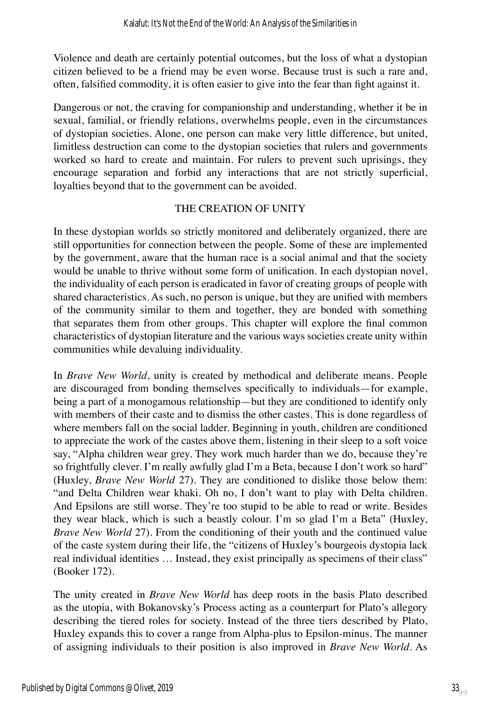Violence and death are certainly potential outcomes, but the loss of what a dystopian citizen believed to be a friend may be even worse. Because trust is such a rare and, often, falsified commodity, it is often easier to give into the fear than fight against it.

Dangerous or not, the craving for companionship and understanding, whether it be in sexual, familial, or friendly relations, overwhelms people, even in the circumstances of dystopian societies. Alone, one person can make very little difference, but united, limitless destruction can come to the dystopian societies that rulers and governments worked so hard to create and maintain. For rulers to prevent such uprisings, they encourage separation and forbid any interactions that are not strictly superficial, loyalties beyond that to the government can be avoided.

#### THE CREATION OF UNITY

In these dystopian worlds so strictly monitored and deliberately organized, there are still opportunities for connection between the people. Some of these are implemented by the government, aware that the human race is a social animal and that the society would be unable to thrive without some form of unification. In each dystopian novel, the individuality of each person is eradicated in favor of creating groups of people with shared characteristics. As such, no person is unique, but they are unified with members of the community similar to them and together, they are bonded with something that separates them from other groups. This chapter will explore the final common characteristics of dystopian literature and the various ways societies create unity within communities while devaluing individuality.

In *Brave New World*, unity is created by methodical and deliberate means. People are discouraged from bonding themselves specifically to individuals—for example, being a part of a monogamous relationship—but they are conditioned to identify only with members of their caste and to dismiss the other castes. This is done regardless of where members fall on the social ladder. Beginning in youth, children are conditioned to appreciate the work of the castes above them, listening in their sleep to a soft voice say, "Alpha children wear grey. They work much harder than we do, because they're so frightfully clever. I'm really awfully glad I'm a Beta, because I don't work so hard" (Huxley, *Brave New World* 27). They are conditioned to dislike those below them: "and Delta Children wear khaki. Oh no, I don't want to play with Delta children. And Epsilons are still worse. They're too stupid to be able to read or write. Besides they wear black, which is such a beastly colour. I'm so glad I'm a Beta" (Huxley, *Brave New World* 27). From the conditioning of their youth and the continued value of the caste system during their life, the "citizens of Huxley's bourgeois dystopia lack real individual identities … Instead, they exist principally as specimens of their class" (Booker 172).

The unity created in *Brave New World* has deep roots in the basis Plato described as the utopia, with Bokanovsky's Process acting as a counterpart for Plato's allegory describing the tiered roles for society. Instead of the three tiers described by Plato, Huxley expands this to cover a range from Alpha-plus to Epsilon-minus. The manner of assigning individuals to their position is also improved in *Brave New World*. As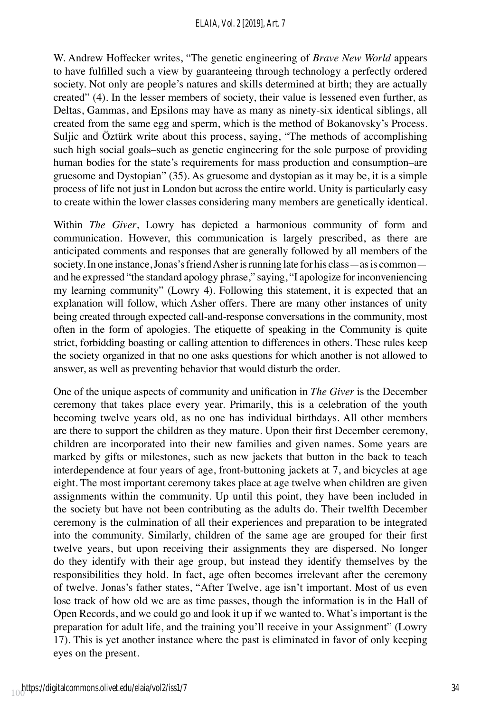#### *ELAIA, Vol. 2 [2019], Art. 7*

W. Andrew Hoffecker writes, "The genetic engineering of *Brave New World* appears to have fulfilled such a view by guaranteeing through technology a perfectly ordered society. Not only are people's natures and skills determined at birth; they are actually created" (4). In the lesser members of society, their value is lessened even further, as Deltas, Gammas, and Epsilons may have as many as ninety-six identical siblings, all created from the same egg and sperm, which is the method of Bokanovsky's Process. Suljic and Öztürk write about this process, saying, "The methods of accomplishing such high social goals–such as genetic engineering for the sole purpose of providing human bodies for the state's requirements for mass production and consumption–are gruesome and Dystopian" (35). As gruesome and dystopian as it may be, it is a simple process of life not just in London but across the entire world. Unity is particularly easy to create within the lower classes considering many members are genetically identical.

Within *The Giver*, Lowry has depicted a harmonious community of form and communication. However, this communication is largely prescribed, as there are anticipated comments and responses that are generally followed by all members of the society. In one instance, Jonas's friend Asher is running late for his class—as is common and he expressed "the standard apology phrase," saying, "I apologize for inconveniencing my learning community" (Lowry 4). Following this statement, it is expected that an explanation will follow, which Asher offers. There are many other instances of unity being created through expected call-and-response conversations in the community, most often in the form of apologies. The etiquette of speaking in the Community is quite strict, forbidding boasting or calling attention to differences in others. These rules keep the society organized in that no one asks questions for which another is not allowed to answer, as well as preventing behavior that would disturb the order.

One of the unique aspects of community and unification in *The Giver* is the December ceremony that takes place every year. Primarily, this is a celebration of the youth becoming twelve years old, as no one has individual birthdays. All other members are there to support the children as they mature. Upon their first December ceremony, children are incorporated into their new families and given names. Some years are marked by gifts or milestones, such as new jackets that button in the back to teach interdependence at four years of age, front-buttoning jackets at 7, and bicycles at age eight. The most important ceremony takes place at age twelve when children are given assignments within the community. Up until this point, they have been included in the society but have not been contributing as the adults do. Their twelfth December ceremony is the culmination of all their experiences and preparation to be integrated into the community. Similarly, children of the same age are grouped for their first twelve years, but upon receiving their assignments they are dispersed. No longer do they identify with their age group, but instead they identify themselves by the responsibilities they hold. In fact, age often becomes irrelevant after the ceremony of twelve. Jonas's father states, "After Twelve, age isn't important. Most of us even lose track of how old we are as time passes, though the information is in the Hall of Open Records, and we could go and look it up if we wanted to. What's important is the preparation for adult life, and the training you'll receive in your Assignment" (Lowry 17). This is yet another instance where the past is eliminated in favor of only keeping eyes on the present.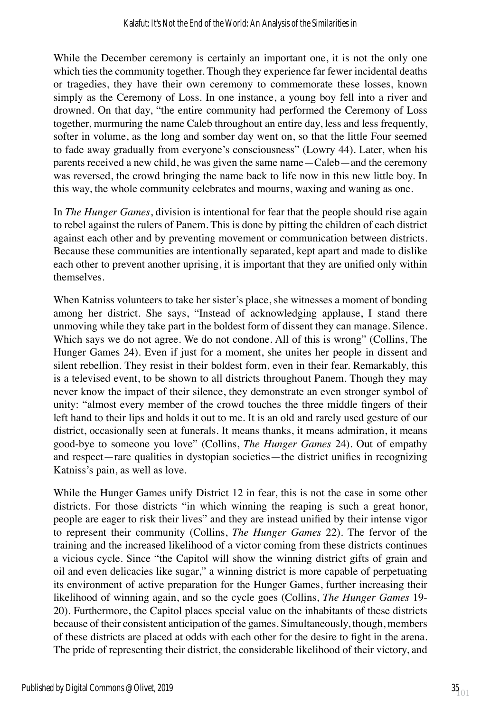While the December ceremony is certainly an important one, it is not the only one which ties the community together. Though they experience far fewer incidental deaths or tragedies, they have their own ceremony to commemorate these losses, known simply as the Ceremony of Loss. In one instance, a young boy fell into a river and drowned. On that day, "the entire community had performed the Ceremony of Loss together, murmuring the name Caleb throughout an entire day, less and less frequently, softer in volume, as the long and somber day went on, so that the little Four seemed to fade away gradually from everyone's consciousness" (Lowry 44). Later, when his parents received a new child, he was given the same name—Caleb—and the ceremony was reversed, the crowd bringing the name back to life now in this new little boy. In this way, the whole community celebrates and mourns, waxing and waning as one.

In *The Hunger Games*, division is intentional for fear that the people should rise again to rebel against the rulers of Panem. This is done by pitting the children of each district against each other and by preventing movement or communication between districts. Because these communities are intentionally separated, kept apart and made to dislike each other to prevent another uprising, it is important that they are unified only within themselves.

When Katniss volunteers to take her sister's place, she witnesses a moment of bonding among her district. She says, "Instead of acknowledging applause, I stand there unmoving while they take part in the boldest form of dissent they can manage. Silence. Which says we do not agree. We do not condone. All of this is wrong" (Collins, The Hunger Games 24). Even if just for a moment, she unites her people in dissent and silent rebellion. They resist in their boldest form, even in their fear. Remarkably, this is a televised event, to be shown to all districts throughout Panem. Though they may never know the impact of their silence, they demonstrate an even stronger symbol of unity: "almost every member of the crowd touches the three middle fingers of their left hand to their lips and holds it out to me. It is an old and rarely used gesture of our district, occasionally seen at funerals. It means thanks, it means admiration, it means good-bye to someone you love" (Collins, *The Hunger Games* 24). Out of empathy and respect—rare qualities in dystopian societies—the district unifies in recognizing Katniss's pain, as well as love.

While the Hunger Games unify District 12 in fear, this is not the case in some other districts. For those districts "in which winning the reaping is such a great honor, people are eager to risk their lives" and they are instead unified by their intense vigor to represent their community (Collins, *The Hunger Games* 22). The fervor of the training and the increased likelihood of a victor coming from these districts continues a vicious cycle. Since "the Capitol will show the winning district gifts of grain and oil and even delicacies like sugar," a winning district is more capable of perpetuating its environment of active preparation for the Hunger Games, further increasing their likelihood of winning again, and so the cycle goes (Collins, *The Hunger Games* 19- 20). Furthermore, the Capitol places special value on the inhabitants of these districts because of their consistent anticipation of the games. Simultaneously, though, members of these districts are placed at odds with each other for the desire to fight in the arena. The pride of representing their district, the considerable likelihood of their victory, and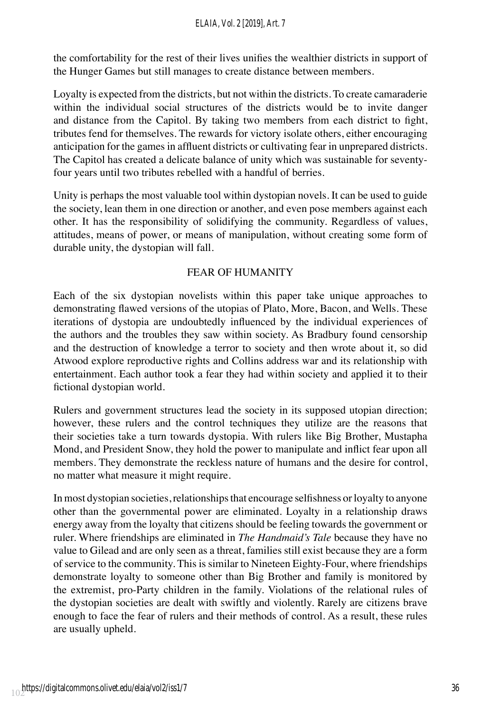the comfortability for the rest of their lives unifies the wealthier districts in support of the Hunger Games but still manages to create distance between members.

Loyalty is expected from the districts, but not within the districts. To create camaraderie within the individual social structures of the districts would be to invite danger and distance from the Capitol. By taking two members from each district to fight, tributes fend for themselves. The rewards for victory isolate others, either encouraging anticipation for the games in affluent districts or cultivating fear in unprepared districts. The Capitol has created a delicate balance of unity which was sustainable for seventyfour years until two tributes rebelled with a handful of berries.

Unity is perhaps the most valuable tool within dystopian novels. It can be used to guide the society, lean them in one direction or another, and even pose members against each other. It has the responsibility of solidifying the community. Regardless of values, attitudes, means of power, or means of manipulation, without creating some form of durable unity, the dystopian will fall.

## FEAR OF HUMANITY

Each of the six dystopian novelists within this paper take unique approaches to demonstrating flawed versions of the utopias of Plato, More, Bacon, and Wells. These iterations of dystopia are undoubtedly influenced by the individual experiences of the authors and the troubles they saw within society. As Bradbury found censorship and the destruction of knowledge a terror to society and then wrote about it, so did Atwood explore reproductive rights and Collins address war and its relationship with entertainment. Each author took a fear they had within society and applied it to their fictional dystopian world.

Rulers and government structures lead the society in its supposed utopian direction; however, these rulers and the control techniques they utilize are the reasons that their societies take a turn towards dystopia. With rulers like Big Brother, Mustapha Mond, and President Snow, they hold the power to manipulate and inflict fear upon all members. They demonstrate the reckless nature of humans and the desire for control, no matter what measure it might require.

In most dystopian societies, relationships that encourage selfishness or loyalty to anyone other than the governmental power are eliminated. Loyalty in a relationship draws energy away from the loyalty that citizens should be feeling towards the government or ruler. Where friendships are eliminated in *The Handmaid's Tale* because they have no value to Gilead and are only seen as a threat, families still exist because they are a form of service to the community. This is similar to Nineteen Eighty-Four, where friendships demonstrate loyalty to someone other than Big Brother and family is monitored by the extremist, pro-Party children in the family. Violations of the relational rules of the dystopian societies are dealt with swiftly and violently. Rarely are citizens brave enough to face the fear of rulers and their methods of control. As a result, these rules are usually upheld.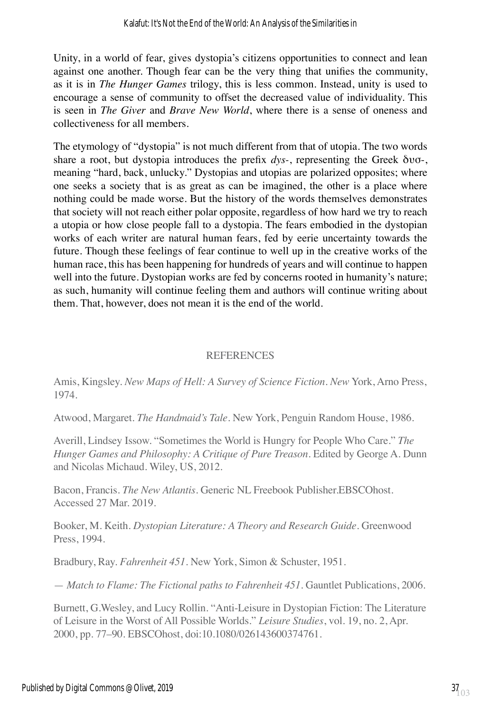Unity, in a world of fear, gives dystopia's citizens opportunities to connect and lean against one another. Though fear can be the very thing that unifies the community, as it is in *The Hunger Games* trilogy, this is less common. Instead, unity is used to encourage a sense of community to offset the decreased value of individuality. This is seen in *The Giver* and *Brave New World*, where there is a sense of oneness and collectiveness for all members.

The etymology of "dystopia" is not much different from that of utopia. The two words share a root, but dystopia introduces the prefix *dys-*, representing the Greek δυσ-, meaning "hard, back, unlucky." Dystopias and utopias are polarized opposites; where one seeks a society that is as great as can be imagined, the other is a place where nothing could be made worse. But the history of the words themselves demonstrates that society will not reach either polar opposite, regardless of how hard we try to reach a utopia or how close people fall to a dystopia. The fears embodied in the dystopian works of each writer are natural human fears, fed by eerie uncertainty towards the future. Though these feelings of fear continue to well up in the creative works of the human race, this has been happening for hundreds of years and will continue to happen well into the future. Dystopian works are fed by concerns rooted in humanity's nature; as such, humanity will continue feeling them and authors will continue writing about them. That, however, does not mean it is the end of the world.

#### **REFERENCES**

Amis, Kingsley. *New Maps of Hell: A Survey of Science Fiction. New* York, Arno Press, 1974.

Atwood, Margaret. *The Handmaid's Tale.* New York, Penguin Random House, 1986.

Averill, Lindsey Issow. "Sometimes the World is Hungry for People Who Care." *The Hunger Games and Philosophy: A Critique of Pure Treason*. Edited by George A. Dunn and Nicolas Michaud. Wiley, US, 2012.

Bacon, Francis. *The New Atlantis*. Generic NL Freebook Publisher.EBSCOhost. Accessed 27 Mar. 2019.

Booker, M. Keith. *Dystopian Literature: A Theory and Research Guide*. Greenwood Press, 1994.

Bradbury, Ray. *Fahrenheit 451*. New York, Simon & Schuster, 1951.

— *Match to Flame: The Fictional paths to Fahrenheit 451*. Gauntlet Publications, 2006.

Burnett, G.Wesley, and Lucy Rollin. "Anti-Leisure in Dystopian Fiction: The Literature of Leisure in the Worst of All Possible Worlds." *Leisure Studies*, vol. 19, no. 2, Apr. 2000, pp. 77–90. EBSCOhost, doi:10.1080/026143600374761.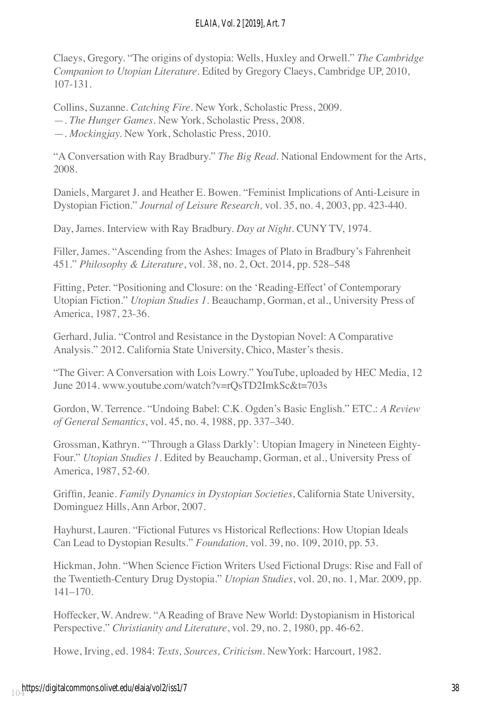## *ELAIA, Vol. 2 [2019], Art. 7*

Claeys, Gregory. "The origins of dystopia: Wells, Huxley and Orwell." *The Cambridge Companion to Utopian Literature.* Edited by Gregory Claeys, Cambridge UP, 2010, 107-131.

Collins, Suzanne. *Catching Fire*. New York, Scholastic Press, 2009. —. *The Hunger Games.* New York, Scholastic Press, 2008. —. *Mockingjay.* New York, Scholastic Press, 2010.

"A Conversation with Ray Bradbury." *The Big Read*. National Endowment for the Arts, 2008.

Daniels, Margaret J. and Heather E. Bowen. "Feminist Implications of Anti-Leisure in Dystopian Fiction." *Journal of Leisure Research,* vol. 35, no. 4, 2003, pp. 423-440.

Day, James. Interview with Ray Bradbury. *Day at Night.* CUNY TV, 1974.

Filler, James. "Ascending from the Ashes: Images of Plato in Bradbury's Fahrenheit 451." *Philosophy & Literature*, vol. 38, no. 2, Oct. 2014, pp. 528–548

Fitting, Peter. "Positioning and Closure: on the 'Reading-Effect' of Contemporary Utopian Fiction." *Utopian Studies 1*. Beauchamp, Gorman, et al., University Press of America, 1987, 23-36.

Gerhard, Julia. "Control and Resistance in the Dystopian Novel: A Comparative Analysis." 2012. California State University, Chico, Master's thesis.

"The Giver: A Conversation with Lois Lowry." YouTube, uploaded by HEC Media, 12 June 2014. www.youtube.com/watch?v=rQsTD2ImkSc&t=703s

Gordon, W. Terrence. "Undoing Babel: C.K. Ogden's Basic English." ETC.: *A Review of General Semantics*, vol. 45, no. 4, 1988, pp. 337–340.

Grossman, Kathryn. "'Through a Glass Darkly': Utopian Imagery in Nineteen Eighty-Four." *Utopian Studies 1*. Edited by Beauchamp, Gorman, et al., University Press of America, 1987, 52-60.

Griffin, Jeanie. *Family Dynamics in Dystopian Societies*, California State University, Dominguez Hills, Ann Arbor, 2007.

Hayhurst, Lauren. "Fictional Futures vs Historical Reflections: How Utopian Ideals Can Lead to Dystopian Results." *Foundation,* vol. 39, no. 109, 2010, pp. 53.

Hickman, John. "When Science Fiction Writers Used Fictional Drugs: Rise and Fall of the Twentieth-Century Drug Dystopia." *Utopian Studies*, vol. 20, no. 1, Mar. 2009, pp. 141–170.

Hoffecker, W. Andrew. "A Reading of Brave New World: Dystopianism in Historical Perspective." *Christianity and Literature*, vol. 29, no. 2, 1980, pp. 46-62.

Howe, Irving, ed. 1984: *Texts, Sources, Criticism*. NewYork: Harcourt, 1982.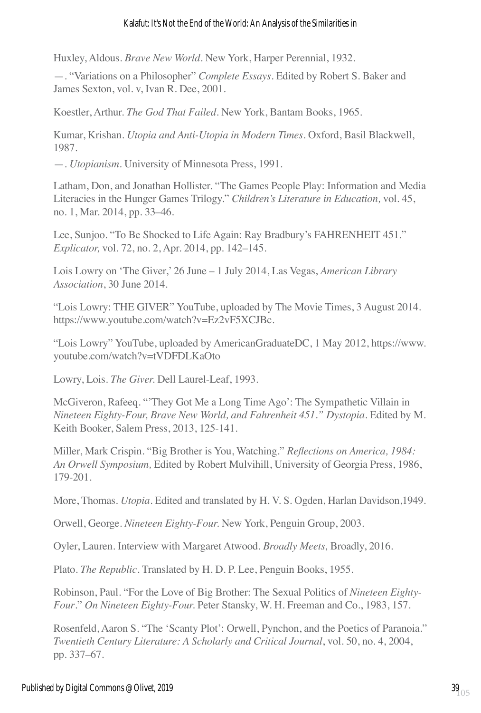#### Kalafut: It's Not the End of the World: An Analysis of the Similarities in

Huxley, Aldous. *Brave New World*. New York, Harper Perennial, 1932.

—. "Variations on a Philosopher" *Complete Essays*. Edited by Robert S. Baker and James Sexton, vol. v, Ivan R. Dee, 2001.

Koestler, Arthur. *The God That Failed*. New York, Bantam Books, 1965.

Kumar, Krishan. *Utopia and Anti-Utopia in Modern Times*. Oxford, Basil Blackwell, 1987.

—. *Utopianism*. University of Minnesota Press, 1991.

Latham, Don, and Jonathan Hollister. "The Games People Play: Information and Media Literacies in the Hunger Games Trilogy." *Children's Literature in Education,* vol. 45, no. 1, Mar. 2014, pp. 33–46.

Lee, Sunjoo. "To Be Shocked to Life Again: Ray Bradbury's FAHRENHEIT 451." *Explicator,* vol. 72, no. 2, Apr. 2014, pp. 142–145.

Lois Lowry on 'The Giver,' 26 June – 1 July 2014, Las Vegas, *American Library Association*, 30 June 2014.

"Lois Lowry: THE GIVER" YouTube, uploaded by The Movie Times, 3 August 2014. https://www.youtube.com/watch?v=Ez2vF5XCJBc.

"Lois Lowry" YouTube, uploaded by AmericanGraduateDC, 1 May 2012, https://www. youtube.com/watch?v=tVDFDLKaOto

Lowry, Lois. *The Giver.* Dell Laurel-Leaf, 1993.

McGiveron, Rafeeq. "'They Got Me a Long Time Ago': The Sympathetic Villain in *Nineteen Eighty-Four, Brave New World, and Fahrenheit 451." Dystopia*. Edited by M. Keith Booker, Salem Press, 2013, 125-141.

Miller, Mark Crispin. "Big Brother is You, Watching." *Reflections on America, 1984: An Orwell Symposium,* Edited by Robert Mulvihill, University of Georgia Press, 1986, 179-201.

More, Thomas. *Utopia.* Edited and translated by H. V. S. Ogden, Harlan Davidson,1949.

Orwell, George. *Nineteen Eighty-Four.* New York, Penguin Group, 2003.

Oyler, Lauren. Interview with Margaret Atwood. *Broadly Meets,* Broadly, 2016.

Plato. *The Republic*. Translated by H. D. P. Lee, Penguin Books, 1955.

Robinson, Paul. "For the Love of Big Brother: The Sexual Politics of *Nineteen Eighty-Four*." *On Nineteen Eighty-Four.* Peter Stansky, W. H. Freeman and Co., 1983, 157.

Rosenfeld, Aaron S. "The 'Scanty Plot': Orwell, Pynchon, and the Poetics of Paranoia." *Twentieth Century Literature: A Scholarly and Critical Journal*, vol. 50, no. 4, 2004, pp. 337–67.